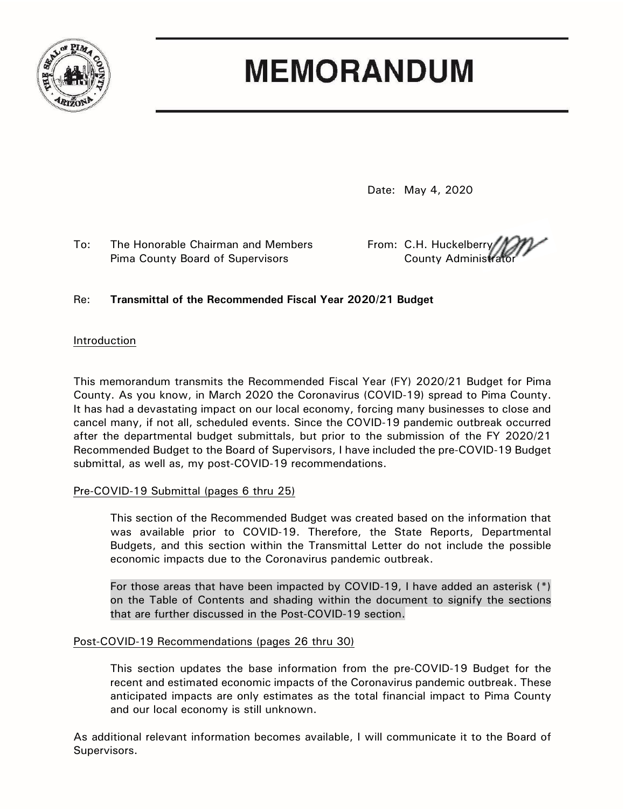

# **MEMORANDUM**

Date: May 4, 2020

To: The Honorable Chairman and Members From: C.H. Huckelberry Pima County Board of Supervisors **County Administrators** County Administration

# Re: **Transmittal of the Recommended Fiscal Year 2020/21 Budget**

## Introduction

This memorandum transmits the Recommended Fiscal Year (FY) 2020/21 Budget for Pima County. As you know, in March 2020 the Coronavirus (COVID-19) spread to Pima County. It has had a devastating impact on our local economy, forcing many businesses to close and cancel many, if not all, scheduled events. Since the COVID-19 pandemic outbreak occurred after the departmental budget submittals, but prior to the submission of the FY 2020/21 Recommended Budget to the Board of Supervisors, I have included the pre-COVID-19 Budget submittal, as well as, my post-COVID-19 recommendations.

## Pre-COVID-19 Submittal (pages 6 thru 25)

This section of the Recommended Budget was created based on the information that was available prior to COVID-19. Therefore, the State Reports, Departmental Budgets, and this section within the Transmittal Letter do not include the possible economic impacts due to the Coronavirus pandemic outbreak.

For those areas that have been impacted by COVID-19, I have added an asterisk (\*) on the Table of Contents and shading within the document to signify the sections that are further discussed in the Post-COVID-19 section.

## Post-COVID-19 Recommendations (pages 26 thru 30)

This section updates the base information from the pre-COVID-19 Budget for the recent and estimated economic impacts of the Coronavirus pandemic outbreak. These anticipated impacts are only estimates as the total financial impact to Pima County and our local economy is still unknown.

As additional relevant information becomes available, I will communicate it to the Board of Supervisors.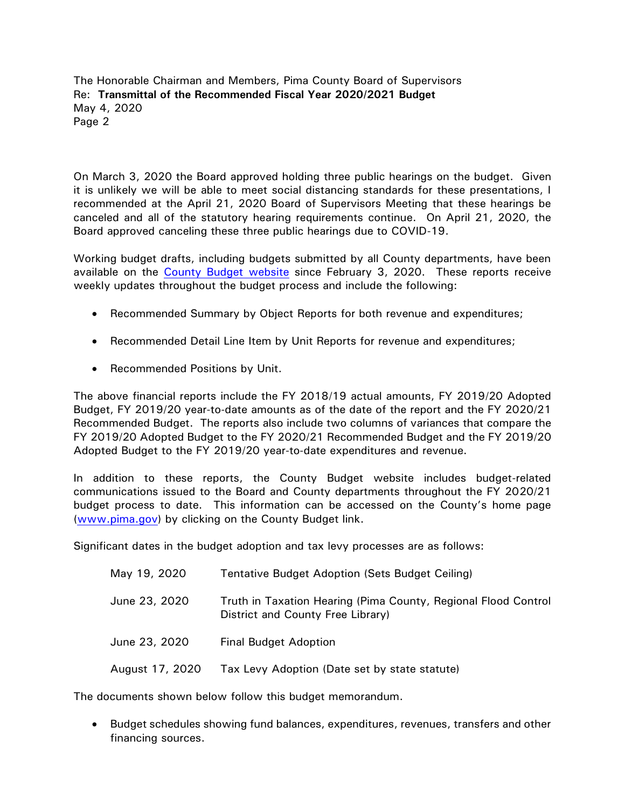On March 3, 2020 the Board approved holding three public hearings on the budget. Given it is unlikely we will be able to meet social distancing standards for these presentations, I recommended at the April 21, 2020 Board of Supervisors Meeting that these hearings be canceled and all of the statutory hearing requirements continue. On April 21, 2020, the Board approved canceling these three public hearings due to COVID-19.

Working budget drafts, including budgets submitted by all County departments, have been available on the [County Budget website](http://webcms.pima.gov/cms/One.aspx?portalId=169&pageId=36498) since February 3, 2020. These reports receive weekly updates throughout the budget process and include the following:

- Recommended Summary by Object Reports for both revenue and expenditures;
- Recommended Detail Line Item by Unit Reports for revenue and expenditures;
- Recommended Positions by Unit.

The above financial reports include the FY 2018/19 actual amounts, FY 2019/20 Adopted Budget, FY 2019/20 year-to-date amounts as of the date of the report and the FY 2020/21 Recommended Budget. The reports also include two columns of variances that compare the FY 2019/20 Adopted Budget to the FY 2020/21 Recommended Budget and the FY 2019/20 Adopted Budget to the FY 2019/20 year-to-date expenditures and revenue.

In addition to these reports, the County Budget website includes budget-related communications issued to the Board and County departments throughout the FY 2020/21 budget process to date. This information can be accessed on the County's home page [\(www.pima.gov\)](http://www.pima.gov/) by clicking on the County Budget link.

Significant dates in the budget adoption and tax levy processes are as follows:

| May 19, 2020    | Tentative Budget Adoption (Sets Budget Ceiling)                                                     |
|-----------------|-----------------------------------------------------------------------------------------------------|
| June 23, 2020   | Truth in Taxation Hearing (Pima County, Regional Flood Control<br>District and County Free Library) |
| June 23, 2020   | <b>Final Budget Adoption</b>                                                                        |
| August 17, 2020 | Tax Levy Adoption (Date set by state statute)                                                       |

The documents shown below follow this budget memorandum.

 Budget schedules showing fund balances, expenditures, revenues, transfers and other financing sources.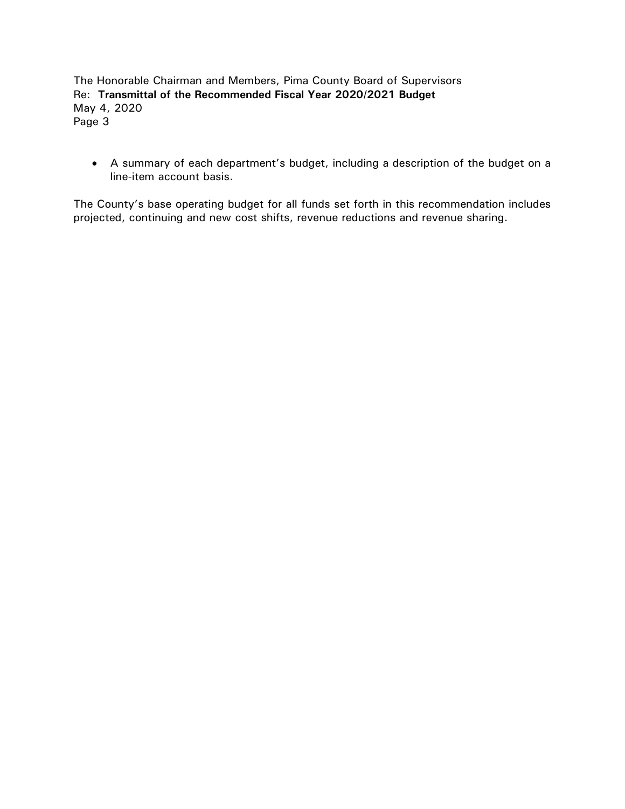A summary of each department's budget, including a description of the budget on a line-item account basis.

The County's base operating budget for all funds set forth in this recommendation includes projected, continuing and new cost shifts, revenue reductions and revenue sharing.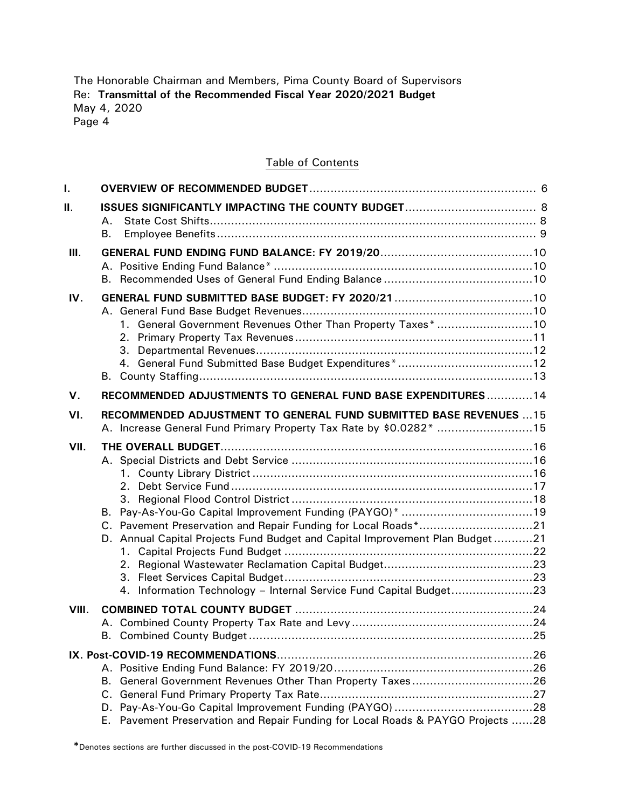#### Table of Contents

| I.    |                                                                                                                                                                                                                                                                                  |  |
|-------|----------------------------------------------------------------------------------------------------------------------------------------------------------------------------------------------------------------------------------------------------------------------------------|--|
| Ш.    | А.<br>В.                                                                                                                                                                                                                                                                         |  |
| III.  |                                                                                                                                                                                                                                                                                  |  |
| IV.   | 1. General Government Revenues Other Than Property Taxes* 10                                                                                                                                                                                                                     |  |
| V.    | RECOMMENDED ADJUSTMENTS TO GENERAL FUND BASE EXPENDITURES 14                                                                                                                                                                                                                     |  |
| VI.   | RECOMMENDED ADJUSTMENT TO GENERAL FUND SUBMITTED BASE REVENUES  15<br>A. Increase General Fund Primary Property Tax Rate by \$0.0282* 15                                                                                                                                         |  |
| VII.  | B. Pay-As-You-Go Capital Improvement Funding (PAYGO)* 19<br>C. Pavement Preservation and Repair Funding for Local Roads*21<br>D. Annual Capital Projects Fund Budget and Capital Improvement Plan Budget21<br>4. Information Technology - Internal Service Fund Capital Budget23 |  |
| VIII. |                                                                                                                                                                                                                                                                                  |  |
|       |                                                                                                                                                                                                                                                                                  |  |
|       | В.<br>C.                                                                                                                                                                                                                                                                         |  |
|       | Pavement Preservation and Repair Funding for Local Roads & PAYGO Projects 28<br>Е.                                                                                                                                                                                               |  |

\*Denotes sections are further discussed in the post-COVID-19 Recommendations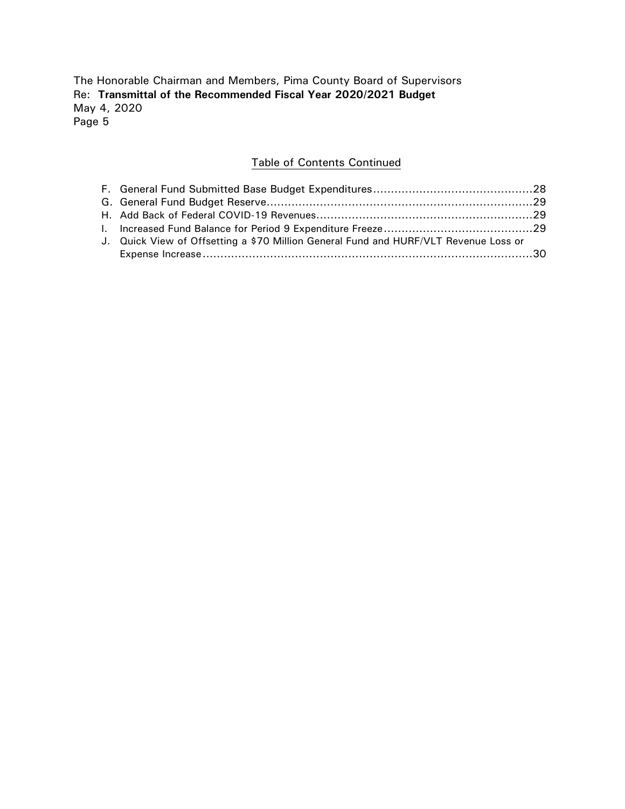## Table of Contents Continued

| J. Quick View of Offsetting a \$70 Million General Fund and HURF/VLT Revenue Loss or |  |
|--------------------------------------------------------------------------------------|--|
|                                                                                      |  |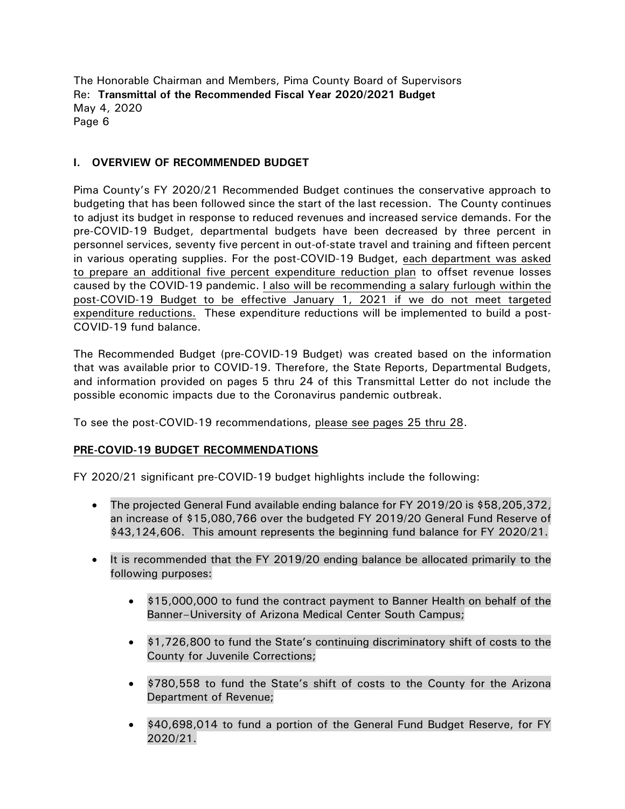## **I. OVERVIEW OF RECOMMENDED BUDGET**

Pima County's FY 2020/21 Recommended Budget continues the conservative approach to budgeting that has been followed since the start of the last recession. The County continues to adjust its budget in response to reduced revenues and increased service demands. For the pre-COVID-19 Budget, departmental budgets have been decreased by three percent in personnel services, seventy five percent in out-of-state travel and training and fifteen percent in various operating supplies. For the post-COVID-19 Budget, each department was asked to prepare an additional five percent expenditure reduction plan to offset revenue losses caused by the COVID-19 pandemic. I also will be recommending a salary furlough within the post-COVID-19 Budget to be effective January 1, 2021 if we do not meet targeted expenditure reductions. These expenditure reductions will be implemented to build a post-COVID-19 fund balance.

The Recommended Budget (pre-COVID-19 Budget) was created based on the information that was available prior to COVID-19. Therefore, the State Reports, Departmental Budgets, and information provided on pages 5 thru 24 of this Transmittal Letter do not include the possible economic impacts due to the Coronavirus pandemic outbreak.

To see the post-COVID-19 recommendations, please see pages 25 thru 28.

## **PRE-COVID-19 BUDGET RECOMMENDATIONS**

FY 2020/21 significant pre-COVID-19 budget highlights include the following:

- The projected General Fund available ending balance for FY 2019/20 is \$58,205,372, an increase of \$15,080,766 over the budgeted FY 2019/20 General Fund Reserve of \$43,124,606. This amount represents the beginning fund balance for FY 2020/21.
- It is recommended that the FY 2019/20 ending balance be allocated primarily to the following purposes:
	- \$15,000,000 to fund the contract payment to Banner Health on behalf of the Banner–University of Arizona Medical Center South Campus;
	- \$1,726,800 to fund the State's continuing discriminatory shift of costs to the County for Juvenile Corrections;
	- \$780,558 to fund the State's shift of costs to the County for the Arizona Department of Revenue;
	- \$40,698,014 to fund a portion of the General Fund Budget Reserve, for FY 2020/21.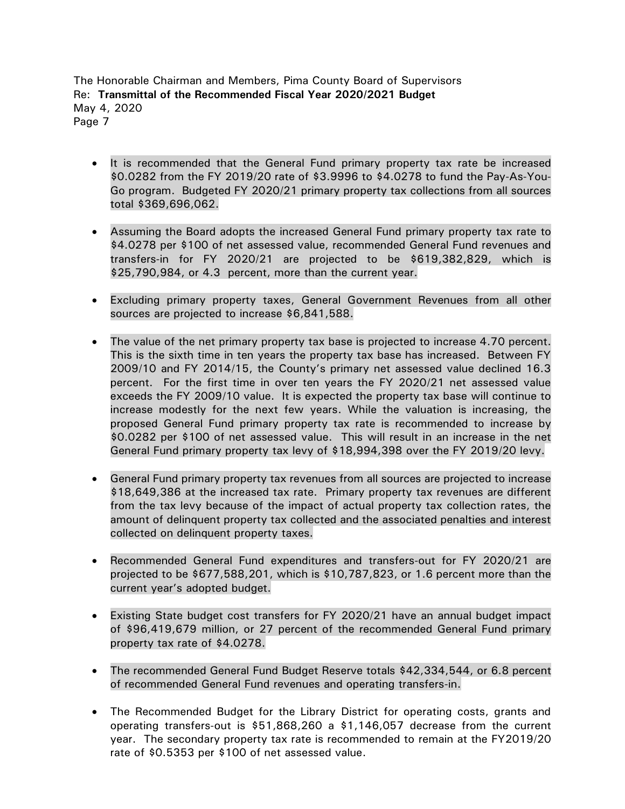- It is recommended that the General Fund primary property tax rate be increased \$0.0282 from the FY 2019/20 rate of \$3.9996 to \$4.0278 to fund the Pay-As-You-Go program. Budgeted FY 2020/21 primary property tax collections from all sources total \$369,696,062.
- Assuming the Board adopts the increased General Fund primary property tax rate to \$4.0278 per \$100 of net assessed value, recommended General Fund revenues and transfers-in for FY 2020/21 are projected to be \$619,382,829, which is \$25,790,984, or 4.3 percent, more than the current year.
- Excluding primary property taxes, General Government Revenues from all other sources are projected to increase \$6,841,588.
- The value of the net primary property tax base is projected to increase 4.70 percent. This is the sixth time in ten years the property tax base has increased. Between FY 2009/10 and FY 2014/15, the County's primary net assessed value declined 16.3 percent. For the first time in over ten years the FY 2020/21 net assessed value exceeds the FY 2009/10 value. It is expected the property tax base will continue to increase modestly for the next few years. While the valuation is increasing, the proposed General Fund primary property tax rate is recommended to increase by \$0.0282 per \$100 of net assessed value. This will result in an increase in the net General Fund primary property tax levy of \$18,994,398 over the FY 2019/20 levy.
- General Fund primary property tax revenues from all sources are projected to increase \$18,649,386 at the increased tax rate. Primary property tax revenues are different from the tax levy because of the impact of actual property tax collection rates, the amount of delinquent property tax collected and the associated penalties and interest collected on delinquent property taxes.
- Recommended General Fund expenditures and transfers-out for FY 2020/21 are projected to be \$677,588,201, which is \$10,787,823, or 1.6 percent more than the current year's adopted budget.
- Existing State budget cost transfers for FY 2020/21 have an annual budget impact of \$96,419,679 million, or 27 percent of the recommended General Fund primary property tax rate of \$4.0278.
- The recommended General Fund Budget Reserve totals \$42,334,544, or 6.8 percent of recommended General Fund revenues and operating transfers-in.
- The Recommended Budget for the Library District for operating costs, grants and operating transfers-out is \$51,868,260 a \$1,146,057 decrease from the current year. The secondary property tax rate is recommended to remain at the FY2019/20 rate of \$0.5353 per \$100 of net assessed value.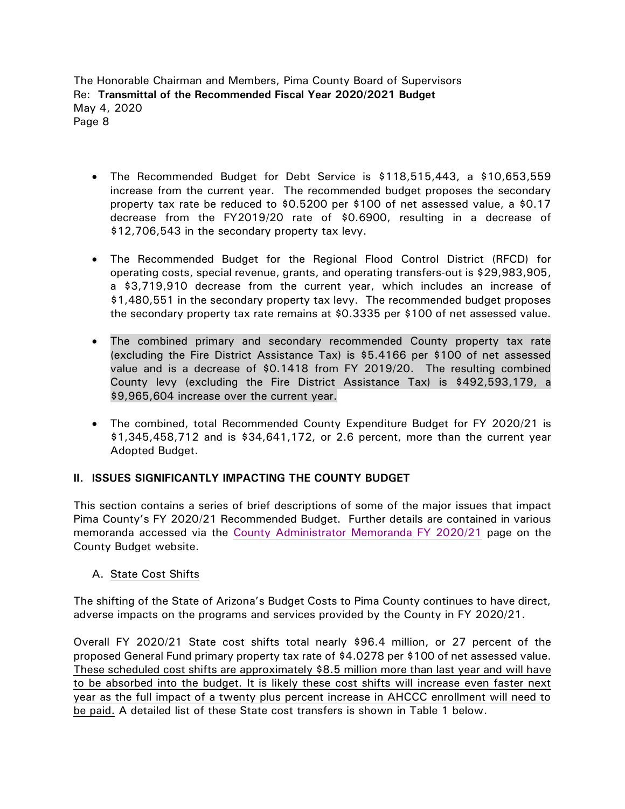- The Recommended Budget for Debt Service is \$118,515,443, a \$10,653,559 increase from the current year. The recommended budget proposes the secondary property tax rate be reduced to \$0.5200 per \$100 of net assessed value, a \$0.17 decrease from the FY2019/20 rate of \$0.6900, resulting in a decrease of \$12,706,543 in the secondary property tax levy.
- The Recommended Budget for the Regional Flood Control District (RFCD) for operating costs, special revenue, grants, and operating transfers-out is \$29,983,905, a \$3,719,910 decrease from the current year, which includes an increase of \$1,480,551 in the secondary property tax levy. The recommended budget proposes the secondary property tax rate remains at \$0.3335 per \$100 of net assessed value.
- The combined primary and secondary recommended County property tax rate (excluding the Fire District Assistance Tax) is \$5.4166 per \$100 of net assessed value and is a decrease of \$0.1418 from FY 2019/20. The resulting combined County levy (excluding the Fire District Assistance Tax) is \$492,593,179, a \$9,965,604 increase over the current year.
- The combined, total Recommended County Expenditure Budget for FY 2020/21 is \$1,345,458,712 and is \$34,641,172, or 2.6 percent, more than the current year Adopted Budget.

# **II. ISSUES SIGNIFICANTLY IMPACTING THE COUNTY BUDGET**

This section contains a series of brief descriptions of some of the major issues that impact Pima County's FY 2020/21 Recommended Budget. Further details are contained in various memoranda accessed via the [County Administrator Memoranda FY 2020/21](https://webcms.pima.gov/cms/One.aspx?portalId=169&pageId=509664) page on the County Budget website.

## A. State Cost Shifts

The shifting of the State of Arizona's Budget Costs to Pima County continues to have direct, adverse impacts on the programs and services provided by the County in FY 2020/21.

Overall FY 2020/21 State cost shifts total nearly \$96.4 million, or 27 percent of the proposed General Fund primary property tax rate of \$4.0278 per \$100 of net assessed value. These scheduled cost shifts are approximately \$8.5 million more than last year and will have to be absorbed into the budget. It is likely these cost shifts will increase even faster next year as the full impact of a twenty plus percent increase in AHCCC enrollment will need to be paid. A detailed list of these State cost transfers is shown in Table 1 below.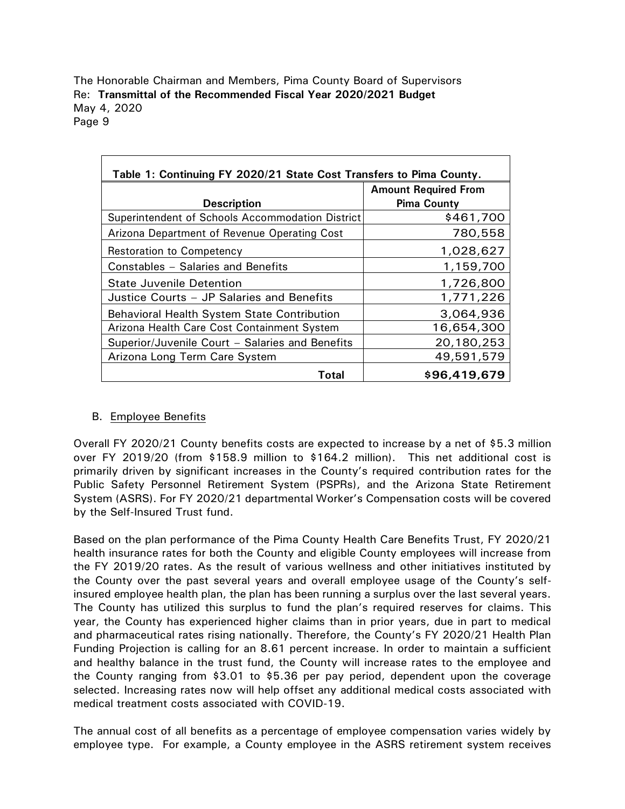| Table 1: Continuing FY 2020/21 State Cost Transfers to Pima County. |                             |  |  |  |
|---------------------------------------------------------------------|-----------------------------|--|--|--|
|                                                                     | <b>Amount Required From</b> |  |  |  |
| <b>Description</b>                                                  | <b>Pima County</b>          |  |  |  |
| Superintendent of Schools Accommodation District                    | \$461,700                   |  |  |  |
| Arizona Department of Revenue Operating Cost                        | 780,558                     |  |  |  |
| <b>Restoration to Competency</b>                                    | 1,028,627                   |  |  |  |
| Constables - Salaries and Benefits                                  | 1,159,700                   |  |  |  |
| <b>State Juvenile Detention</b>                                     | 1,726,800                   |  |  |  |
| Justice Courts - JP Salaries and Benefits                           | 1,771,226                   |  |  |  |
| <b>Behavioral Health System State Contribution</b>                  | 3,064,936                   |  |  |  |
| Arizona Health Care Cost Containment System                         | 16,654,300                  |  |  |  |
| Superior/Juvenile Court - Salaries and Benefits                     | 20,180,253                  |  |  |  |
| Arizona Long Term Care System                                       | 49,591,579                  |  |  |  |
| Total                                                               | \$96,419,679                |  |  |  |

## B. Employee Benefits

Overall FY 2020/21 County benefits costs are expected to increase by a net of \$5.3 million over FY 2019/20 (from \$158.9 million to \$164.2 million). This net additional cost is primarily driven by significant increases in the County's required contribution rates for the Public Safety Personnel Retirement System (PSPRs), and the Arizona State Retirement System (ASRS). For FY 2020/21 departmental Worker's Compensation costs will be covered by the Self-Insured Trust fund.

Based on the plan performance of the Pima County Health Care Benefits Trust, FY 2020/21 health insurance rates for both the County and eligible County employees will increase from the FY 2019/20 rates. As the result of various wellness and other initiatives instituted by the County over the past several years and overall employee usage of the County's selfinsured employee health plan, the plan has been running a surplus over the last several years. The County has utilized this surplus to fund the plan's required reserves for claims. This year, the County has experienced higher claims than in prior years, due in part to medical and pharmaceutical rates rising nationally. Therefore, the County's FY 2020/21 Health Plan Funding Projection is calling for an 8.61 percent increase. In order to maintain a sufficient and healthy balance in the trust fund, the County will increase rates to the employee and the County ranging from \$3.01 to \$5.36 per pay period, dependent upon the coverage selected. Increasing rates now will help offset any additional medical costs associated with medical treatment costs associated with COVID-19.

The annual cost of all benefits as a percentage of employee compensation varies widely by employee type. For example, a County employee in the ASRS retirement system receives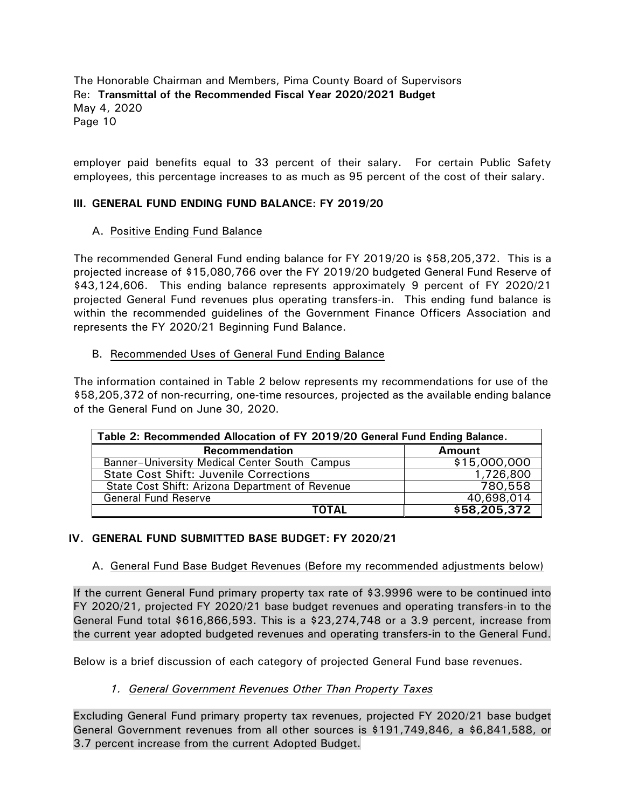employer paid benefits equal to 33 percent of their salary. For certain Public Safety employees, this percentage increases to as much as 95 percent of the cost of their salary.

## **III. GENERAL FUND ENDING FUND BALANCE: FY 2019/20**

#### A. Positive Ending Fund Balance

The recommended General Fund ending balance for FY 2019/20 is \$58,205,372. This is a projected increase of \$15,080,766 over the FY 2019/20 budgeted General Fund Reserve of \$43,124,606. This ending balance represents approximately 9 percent of FY 2020/21 projected General Fund revenues plus operating transfers-in. This ending fund balance is within the recommended guidelines of the Government Finance Officers Association and represents the FY 2020/21 Beginning Fund Balance.

#### B. Recommended Uses of General Fund Ending Balance

The information contained in Table 2 below represents my recommendations for use of the \$58,205,372 of non-recurring, one-time resources, projected as the available ending balance of the General Fund on June 30, 2020.

| Table 2: Recommended Allocation of FY 2019/20 General Fund Ending Balance. |               |  |  |
|----------------------------------------------------------------------------|---------------|--|--|
| <b>Recommendation</b>                                                      | <b>Amount</b> |  |  |
| Banner-University Medical Center South Campus                              | \$15,000,000  |  |  |
| <b>State Cost Shift: Juvenile Corrections</b>                              | 1,726,800     |  |  |
| State Cost Shift: Arizona Department of Revenue                            | 780,558       |  |  |
| <b>General Fund Reserve</b>                                                | 40,698,014    |  |  |
| ΤΟΤΑL                                                                      | \$58,205,372  |  |  |

## **IV. GENERAL FUND SUBMITTED BASE BUDGET: FY 2020/21**

#### A. General Fund Base Budget Revenues (Before my recommended adjustments below)

If the current General Fund primary property tax rate of \$3.9996 were to be continued into FY 2020/21, projected FY 2020/21 base budget revenues and operating transfers-in to the General Fund total \$616,866,593. This is a \$23,274,748 or a 3.9 percent, increase from the current year adopted budgeted revenues and operating transfers-in to the General Fund.

Below is a brief discussion of each category of projected General Fund base revenues.

## *1. General Government Revenues Other Than Property Taxes*

Excluding General Fund primary property tax revenues, projected FY 2020/21 base budget General Government revenues from all other sources is \$191,749,846, a \$6,841,588, or 3.7 percent increase from the current Adopted Budget.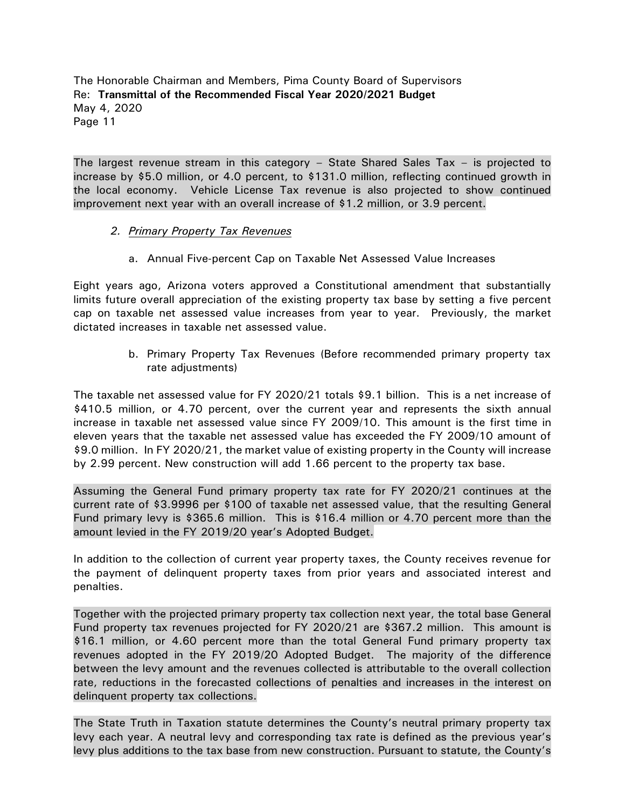The largest revenue stream in this category – State Shared Sales Tax – is projected to increase by \$5.0 million, or 4.0 percent, to \$131.0 million, reflecting continued growth in the local economy. Vehicle License Tax revenue is also projected to show continued improvement next year with an overall increase of \$1.2 million, or 3.9 percent.

## *2. Primary Property Tax Revenues*

a. Annual Five-percent Cap on Taxable Net Assessed Value Increases

Eight years ago, Arizona voters approved a Constitutional amendment that substantially limits future overall appreciation of the existing property tax base by setting a five percent cap on taxable net assessed value increases from year to year. Previously, the market dictated increases in taxable net assessed value.

> b. Primary Property Tax Revenues (Before recommended primary property tax rate adjustments)

The taxable net assessed value for FY 2020/21 totals \$9.1 billion. This is a net increase of \$410.5 million, or 4.70 percent, over the current year and represents the sixth annual increase in taxable net assessed value since FY 2009/10. This amount is the first time in eleven years that the taxable net assessed value has exceeded the FY 2009/10 amount of \$9.0 million. In FY 2020/21, the market value of existing property in the County will increase by 2.99 percent. New construction will add 1.66 percent to the property tax base.

Assuming the General Fund primary property tax rate for FY 2020/21 continues at the current rate of \$3.9996 per \$100 of taxable net assessed value, that the resulting General Fund primary levy is \$365.6 million. This is \$16.4 million or 4.70 percent more than the amount levied in the FY 2019/20 year's Adopted Budget.

In addition to the collection of current year property taxes, the County receives revenue for the payment of delinquent property taxes from prior years and associated interest and penalties.

Together with the projected primary property tax collection next year, the total base General Fund property tax revenues projected for FY 2020/21 are \$367.2 million. This amount is \$16.1 million, or 4.60 percent more than the total General Fund primary property tax revenues adopted in the FY 2019/20 Adopted Budget. The majority of the difference between the levy amount and the revenues collected is attributable to the overall collection rate, reductions in the forecasted collections of penalties and increases in the interest on delinquent property tax collections.

The State Truth in Taxation statute determines the County's neutral primary property tax levy each year. A neutral levy and corresponding tax rate is defined as the previous year's levy plus additions to the tax base from new construction. Pursuant to statute, the County's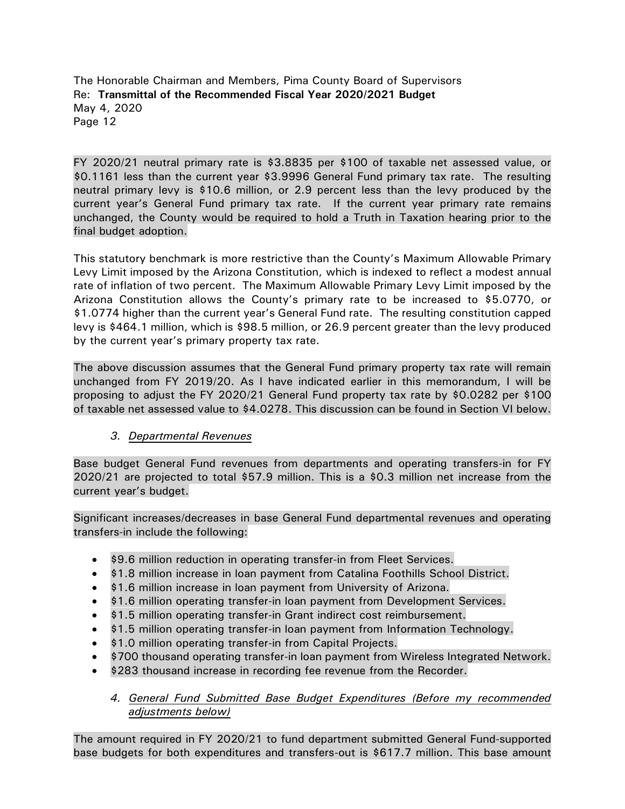FY 2020/21 neutral primary rate is \$3.8835 per \$100 of taxable net assessed value, or \$0.1161 less than the current year \$3.9996 General Fund primary tax rate. The resulting neutral primary levy is \$10.6 million, or 2.9 percent less than the levy produced by the current year's General Fund primary tax rate. If the current year primary rate remains unchanged, the County would be required to hold a Truth in Taxation hearing prior to the final budget adoption.

This statutory benchmark is more restrictive than the County's Maximum Allowable Primary Levy Limit imposed by the Arizona Constitution, which is indexed to reflect a modest annual rate of inflation of two percent. The Maximum Allowable Primary Levy Limit imposed by the Arizona Constitution allows the County's primary rate to be increased to \$5.0770, or \$1.0774 higher than the current year's General Fund rate. The resulting constitution capped levy is \$464.1 million, which is \$98.5 million, or 26.9 percent greater than the levy produced by the current year's primary property tax rate.

The above discussion assumes that the General Fund primary property tax rate will remain unchanged from FY 2019/20. As I have indicated earlier in this memorandum, I will be proposing to adjust the FY 2020/21 General Fund property tax rate by \$0.0282 per \$100 of taxable net assessed value to \$4.0278. This discussion can be found in Section VI below.

# *3. Departmental Revenues*

Base budget General Fund revenues from departments and operating transfers-in for FY 2020/21 are projected to total \$57.9 million. This is a \$0.3 million net increase from the current year's budget.

Significant increases/decreases in base General Fund departmental revenues and operating transfers-in include the following:

- \$9.6 million reduction in operating transfer-in from Fleet Services.
- \$1.8 million increase in loan payment from Catalina Foothills School District.
- \$1.6 million increase in loan payment from University of Arizona.
- \$1.6 million operating transfer-in loan payment from Development Services.
- \$1.5 million operating transfer-in Grant indirect cost reimbursement.
- \$1.5 million operating transfer-in loan payment from Information Technology.
- \$1.0 million operating transfer-in from Capital Projects.
- \$700 thousand operating transfer-in loan payment from Wireless Integrated Network.
- \$283 thousand increase in recording fee revenue from the Recorder.

## *4. General Fund Submitted Base Budget Expenditures (Before my recommended adjustments below)*

The amount required in FY 2020/21 to fund department submitted General Fund-supported base budgets for both expenditures and transfers-out is \$617.7 million. This base amount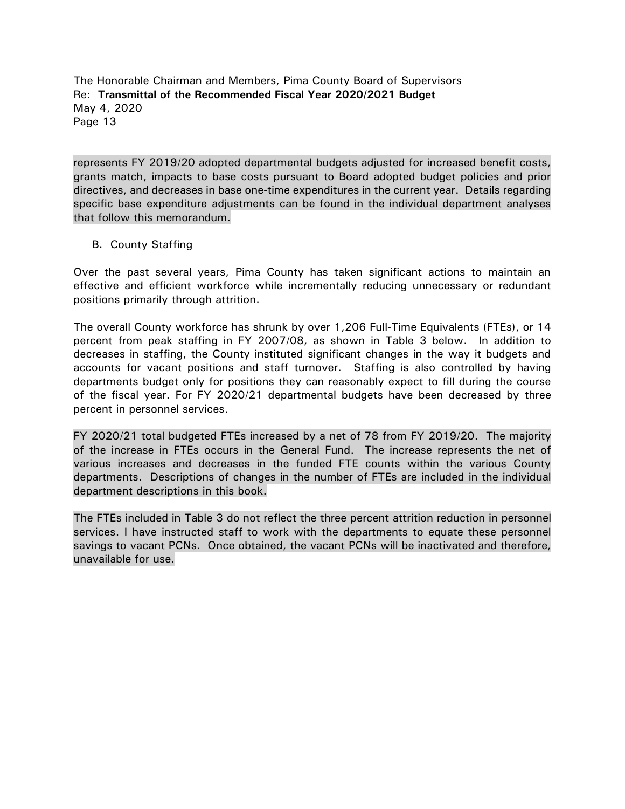represents FY 2019/20 adopted departmental budgets adjusted for increased benefit costs, grants match, impacts to base costs pursuant to Board adopted budget policies and prior directives, and decreases in base one-time expenditures in the current year. Details regarding specific base expenditure adjustments can be found in the individual department analyses that follow this memorandum.

#### B. County Staffing

Over the past several years, Pima County has taken significant actions to maintain an effective and efficient workforce while incrementally reducing unnecessary or redundant positions primarily through attrition.

The overall County workforce has shrunk by over 1,206 Full-Time Equivalents (FTEs), or 14 percent from peak staffing in FY 2007/08, as shown in Table 3 below. In addition to decreases in staffing, the County instituted significant changes in the way it budgets and accounts for vacant positions and staff turnover. Staffing is also controlled by having departments budget only for positions they can reasonably expect to fill during the course of the fiscal year. For FY 2020/21 departmental budgets have been decreased by three percent in personnel services.

FY 2020/21 total budgeted FTEs increased by a net of 78 from FY 2019/20. The majority of the increase in FTEs occurs in the General Fund. The increase represents the net of various increases and decreases in the funded FTE counts within the various County departments. Descriptions of changes in the number of FTEs are included in the individual department descriptions in this book.

The FTEs included in Table 3 do not reflect the three percent attrition reduction in personnel services. I have instructed staff to work with the departments to equate these personnel savings to vacant PCNs. Once obtained, the vacant PCNs will be inactivated and therefore, unavailable for use.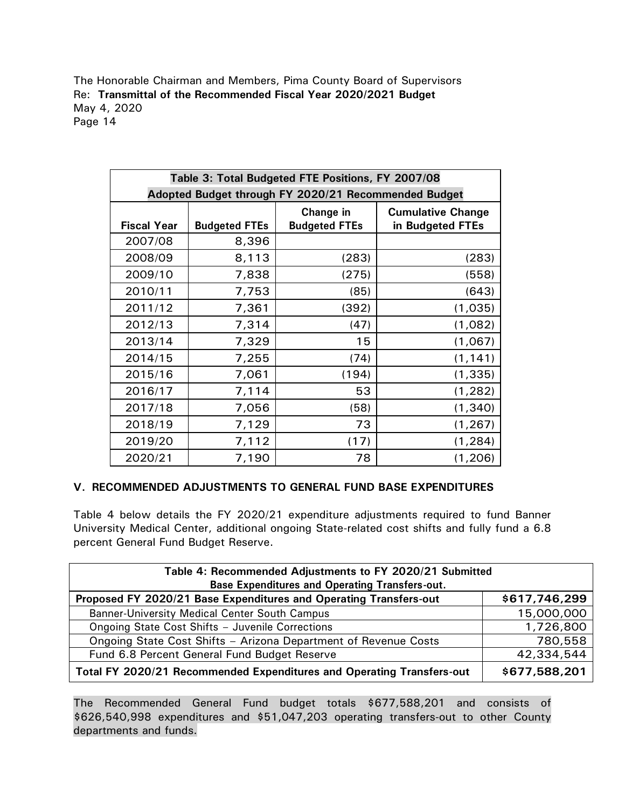| Table 3: Total Budgeted FTE Positions, FY 2007/08    |                      |                      |                          |  |
|------------------------------------------------------|----------------------|----------------------|--------------------------|--|
| Adopted Budget through FY 2020/21 Recommended Budget |                      |                      |                          |  |
|                                                      |                      | Change in            | <b>Cumulative Change</b> |  |
| <b>Fiscal Year</b>                                   | <b>Budgeted FTEs</b> | <b>Budgeted FTEs</b> | in Budgeted FTEs         |  |
| 2007/08                                              | 8,396                |                      |                          |  |
| 2008/09                                              | 8,113                | (283)                | (283)                    |  |
| 2009/10                                              | 7,838                | (275)                | (558)                    |  |
| 2010/11                                              | 7,753                | (85)                 | (643)                    |  |
| 2011/12                                              | 7,361                | (392)                | (1,035)                  |  |
| 2012/13                                              | 7,314                | (47)                 | (1,082)                  |  |
| 2013/14                                              | 7,329                | 15                   | (1,067)                  |  |
| 2014/15                                              | 7,255                | (74)                 | (1, 141)                 |  |
| 2015/16                                              | 7,061                | (194)                | (1, 335)                 |  |
| 2016/17                                              | 7,114                | 53                   | (1, 282)                 |  |
| 2017/18                                              | 7,056                | (58)                 | (1, 340)                 |  |
| 2018/19                                              | 7,129                | 73                   | (1, 267)                 |  |
| 2019/20                                              | 7,112                | (17)                 | (1, 284)                 |  |
| 2020/21                                              | 7,190                | 78                   | (1, 206)                 |  |

## **V. RECOMMENDED ADJUSTMENTS TO GENERAL FUND BASE EXPENDITURES**

Table 4 below details the FY 2020/21 expenditure adjustments required to fund Banner University Medical Center, additional ongoing State-related cost shifts and fully fund a 6.8 percent General Fund Budget Reserve.

| Table 4: Recommended Adjustments to FY 2020/21 Submitted              |               |  |  |
|-----------------------------------------------------------------------|---------------|--|--|
| <b>Base Expenditures and Operating Transfers-out.</b>                 |               |  |  |
| Proposed FY 2020/21 Base Expenditures and Operating Transfers-out     | \$617,746,299 |  |  |
| Banner-University Medical Center South Campus                         | 15,000,000    |  |  |
| Ongoing State Cost Shifts - Juvenile Corrections                      | 1,726,800     |  |  |
| Ongoing State Cost Shifts - Arizona Department of Revenue Costs       | 780,558       |  |  |
| Fund 6.8 Percent General Fund Budget Reserve                          | 42,334,544    |  |  |
| Total FY 2020/21 Recommended Expenditures and Operating Transfers-out | \$677,588,201 |  |  |

The Recommended General Fund budget totals \$677,588,201 and consists of \$626,540,998 expenditures and \$51,047,203 operating transfers-out to other County departments and funds.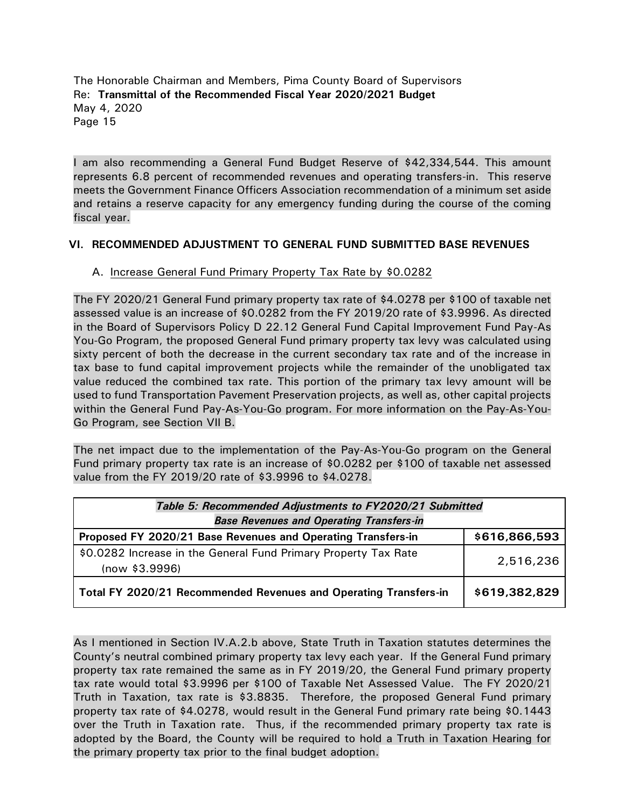I am also recommending a General Fund Budget Reserve of \$42,334,544. This amount represents 6.8 percent of recommended revenues and operating transfers-in. This reserve meets the Government Finance Officers Association recommendation of a minimum set aside and retains a reserve capacity for any emergency funding during the course of the coming fiscal year.

## **VI. RECOMMENDED ADJUSTMENT TO GENERAL FUND SUBMITTED BASE REVENUES**

## A. Increase General Fund Primary Property Tax Rate by \$0.0282

The FY 2020/21 General Fund primary property tax rate of \$4.0278 per \$100 of taxable net assessed value is an increase of \$0.0282 from the FY 2019/20 rate of \$3.9996. As directed in the Board of Supervisors Policy D 22.12 General Fund Capital Improvement Fund Pay-As You-Go Program, the proposed General Fund primary property tax levy was calculated using sixty percent of both the decrease in the current secondary tax rate and of the increase in tax base to fund capital improvement projects while the remainder of the unobligated tax value reduced the combined tax rate. This portion of the primary tax levy amount will be used to fund Transportation Pavement Preservation projects, as well as, other capital projects within the General Fund Pay-As-You-Go program. For more information on the Pay-As-You-Go Program, see Section VII B.

The net impact due to the implementation of the Pay-As-You-Go program on the General Fund primary property tax rate is an increase of \$0.0282 per \$100 of taxable net assessed value from the FY 2019/20 rate of \$3.9996 to \$4.0278.

| Table 5: Recommended Adjustments to FY2020/21 Submitted                           |               |  |  |
|-----------------------------------------------------------------------------------|---------------|--|--|
| <b>Base Revenues and Operating Transfers-in</b>                                   |               |  |  |
| Proposed FY 2020/21 Base Revenues and Operating Transfers-in                      | \$616,866,593 |  |  |
| \$0.0282 Increase in the General Fund Primary Property Tax Rate<br>(now \$3.9996) | 2,516,236     |  |  |
| Total FY 2020/21 Recommended Revenues and Operating Transfers-in                  | \$619,382,829 |  |  |

As I mentioned in Section IV.A.2.b above, State Truth in Taxation statutes determines the County's neutral combined primary property tax levy each year. If the General Fund primary property tax rate remained the same as in FY 2019/20, the General Fund primary property tax rate would total \$3.9996 per \$100 of Taxable Net Assessed Value. The FY 2020/21 Truth in Taxation, tax rate is \$3.8835. Therefore, the proposed General Fund primary property tax rate of \$4.0278, would result in the General Fund primary rate being \$0.1443 over the Truth in Taxation rate. Thus, if the recommended primary property tax rate is adopted by the Board, the County will be required to hold a Truth in Taxation Hearing for the primary property tax prior to the final budget adoption.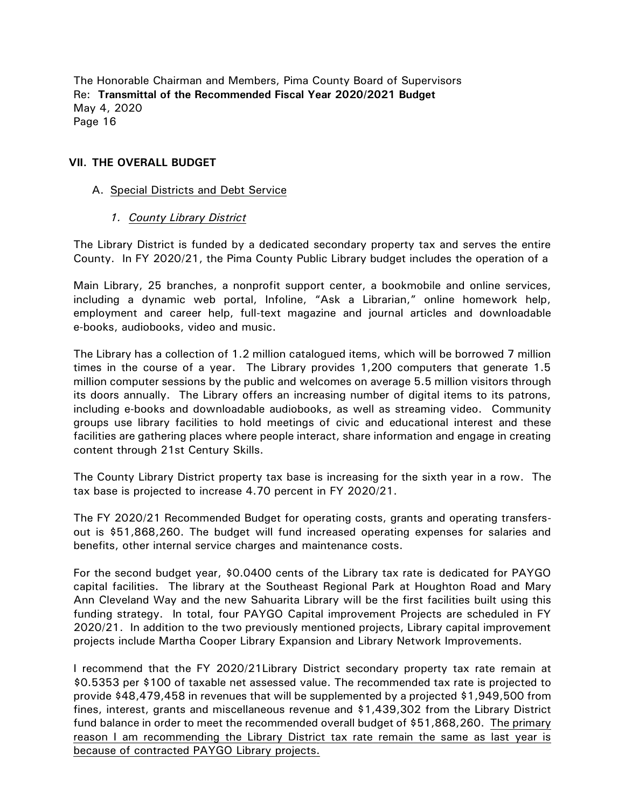#### **VII. THE OVERALL BUDGET**

#### A. Special Districts and Debt Service

#### *1. County Library District*

The Library District is funded by a dedicated secondary property tax and serves the entire County. In FY 2020/21, the Pima County Public Library budget includes the operation of a

Main Library, 25 branches, a nonprofit support center, a bookmobile and online services, including a dynamic web portal, Infoline, "Ask a Librarian," online homework help, employment and career help, full-text magazine and journal articles and downloadable e-books, audiobooks, video and music.

The Library has a collection of 1.2 million catalogued items, which will be borrowed 7 million times in the course of a year. The Library provides 1,200 computers that generate 1.5 million computer sessions by the public and welcomes on average 5.5 million visitors through its doors annually. The Library offers an increasing number of digital items to its patrons, including e-books and downloadable audiobooks, as well as streaming video. Community groups use library facilities to hold meetings of civic and educational interest and these facilities are gathering places where people interact, share information and engage in creating content through 21st Century Skills.

The County Library District property tax base is increasing for the sixth year in a row. The tax base is projected to increase 4.70 percent in FY 2020/21.

The FY 2020/21 Recommended Budget for operating costs, grants and operating transfersout is \$51,868,260. The budget will fund increased operating expenses for salaries and benefits, other internal service charges and maintenance costs.

For the second budget year, \$0.0400 cents of the Library tax rate is dedicated for PAYGO capital facilities. The library at the Southeast Regional Park at Houghton Road and Mary Ann Cleveland Way and the new Sahuarita Library will be the first facilities built using this funding strategy. In total, four PAYGO Capital improvement Projects are scheduled in FY 2020/21. In addition to the two previously mentioned projects, Library capital improvement projects include Martha Cooper Library Expansion and Library Network Improvements.

I recommend that the FY 2020/21Library District secondary property tax rate remain at \$0.5353 per \$100 of taxable net assessed value. The recommended tax rate is projected to provide \$48,479,458 in revenues that will be supplemented by a projected \$1,949,500 from fines, interest, grants and miscellaneous revenue and \$1,439,302 from the Library District fund balance in order to meet the recommended overall budget of \$51,868,260. The primary reason I am recommending the Library District tax rate remain the same as last year is because of contracted PAYGO Library projects.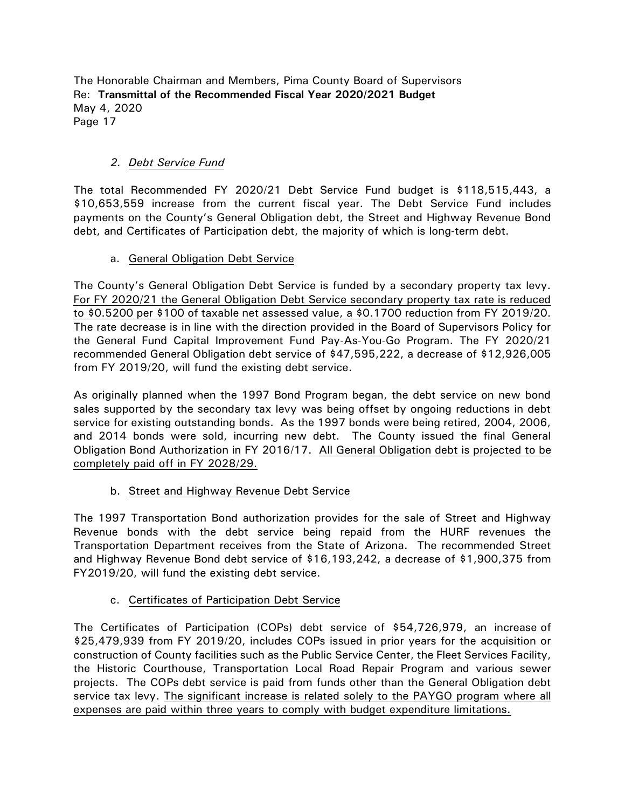# *2. Debt Service Fund*

The total Recommended FY 2020/21 Debt Service Fund budget is \$118,515,443, a \$10,653,559 increase from the current fiscal year. The Debt Service Fund includes payments on the County's General Obligation debt, the Street and Highway Revenue Bond debt, and Certificates of Participation debt, the majority of which is long-term debt.

## a. General Obligation Debt Service

The County's General Obligation Debt Service is funded by a secondary property tax levy. For FY 2020/21 the General Obligation Debt Service secondary property tax rate is reduced to \$0.5200 per \$100 of taxable net assessed value, a \$0.1700 reduction from FY 2019/20. The rate decrease is in line with the direction provided in the Board of Supervisors Policy for the General Fund Capital Improvement Fund Pay-As-You-Go Program. The FY 2020/21 recommended General Obligation debt service of \$47,595,222, a decrease of \$12,926,005 from FY 2019/20, will fund the existing debt service.

As originally planned when the 1997 Bond Program began, the debt service on new bond sales supported by the secondary tax levy was being offset by ongoing reductions in debt service for existing outstanding bonds. As the 1997 bonds were being retired, 2004, 2006, and 2014 bonds were sold, incurring new debt. The County issued the final General Obligation Bond Authorization in FY 2016/17. All General Obligation debt is projected to be completely paid off in FY 2028/29.

## b. Street and Highway Revenue Debt Service

The 1997 Transportation Bond authorization provides for the sale of Street and Highway Revenue bonds with the debt service being repaid from the HURF revenues the Transportation Department receives from the State of Arizona. The recommended Street and Highway Revenue Bond debt service of \$16,193,242, a decrease of \$1,900,375 from FY2019/20, will fund the existing debt service.

## c. Certificates of Participation Debt Service

The Certificates of Participation (COPs) debt service of \$54,726,979, an increase of \$25,479,939 from FY 2019/20, includes COPs issued in prior years for the acquisition or construction of County facilities such as the Public Service Center, the Fleet Services Facility, the Historic Courthouse, Transportation Local Road Repair Program and various sewer projects. The COPs debt service is paid from funds other than the General Obligation debt service tax levy. The significant increase is related solely to the PAYGO program where all expenses are paid within three years to comply with budget expenditure limitations.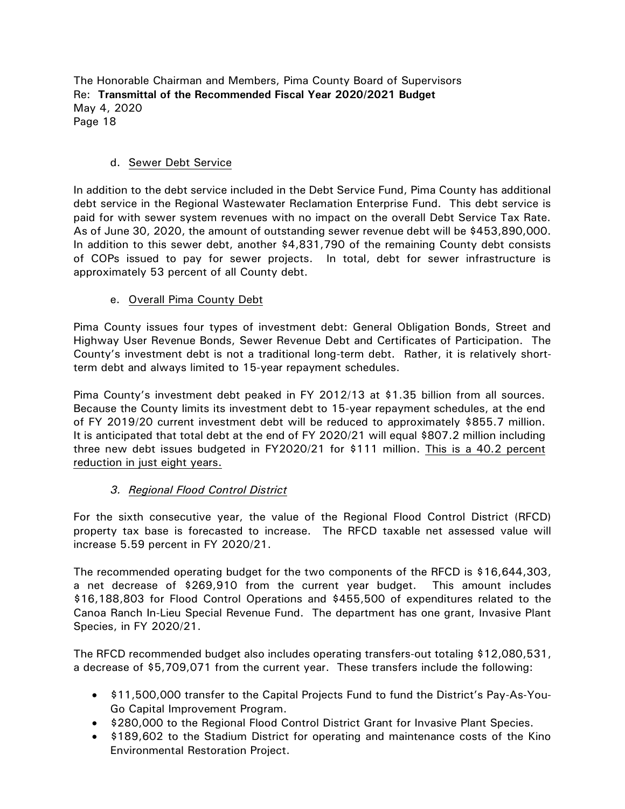## d. Sewer Debt Service

In addition to the debt service included in the Debt Service Fund, Pima County has additional debt service in the Regional Wastewater Reclamation Enterprise Fund. This debt service is paid for with sewer system revenues with no impact on the overall Debt Service Tax Rate. As of June 30, 2020, the amount of outstanding sewer revenue debt will be \$453,890,000. In addition to this sewer debt, another \$4,831,790 of the remaining County debt consists of COPs issued to pay for sewer projects. In total, debt for sewer infrastructure is approximately 53 percent of all County debt.

#### e. Overall Pima County Debt

Pima County issues four types of investment debt: General Obligation Bonds, Street and Highway User Revenue Bonds, Sewer Revenue Debt and Certificates of Participation. The County's investment debt is not a traditional long-term debt. Rather, it is relatively shortterm debt and always limited to 15-year repayment schedules.

Pima County's investment debt peaked in FY 2012/13 at \$1.35 billion from all sources. Because the County limits its investment debt to 15-year repayment schedules, at the end of FY 2019/20 current investment debt will be reduced to approximately \$855.7 million. It is anticipated that total debt at the end of FY 2020/21 will equal \$807.2 million including three new debt issues budgeted in FY2020/21 for \$111 million. This is a 40.2 percent reduction in just eight years.

## *3. Regional Flood Control District*

For the sixth consecutive year, the value of the Regional Flood Control District (RFCD) property tax base is forecasted to increase. The RFCD taxable net assessed value will increase 5.59 percent in FY 2020/21.

The recommended operating budget for the two components of the RFCD is \$16,644,303, a net decrease of \$269,910 from the current year budget. This amount includes \$16,188,803 for Flood Control Operations and \$455,500 of expenditures related to the Canoa Ranch In-Lieu Special Revenue Fund. The department has one grant, Invasive Plant Species, in FY 2020/21.

The RFCD recommended budget also includes operating transfers-out totaling \$12,080,531, a decrease of \$5,709,071 from the current year. These transfers include the following:

- \$11,500,000 transfer to the Capital Projects Fund to fund the District's Pay-As-You-Go Capital Improvement Program.
- \$280,000 to the Regional Flood Control District Grant for Invasive Plant Species.
- \$189,602 to the Stadium District for operating and maintenance costs of the Kino Environmental Restoration Project.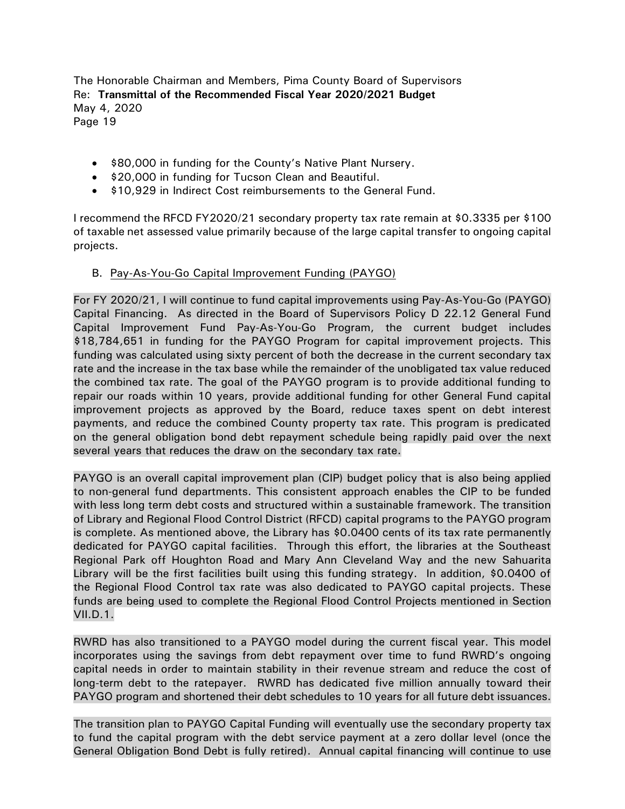• \$80,000 in funding for the County's Native Plant Nursery.

- \$20,000 in funding for Tucson Clean and Beautiful.
- \$10,929 in Indirect Cost reimbursements to the General Fund.

I recommend the RFCD FY2020/21 secondary property tax rate remain at \$0.3335 per \$100 of taxable net assessed value primarily because of the large capital transfer to ongoing capital projects.

## B. Pay-As-You-Go Capital Improvement Funding (PAYGO)

For FY 2020/21, I will continue to fund capital improvements using Pay-As-You-Go (PAYGO) Capital Financing. As directed in the Board of Supervisors Policy D 22.12 General Fund Capital Improvement Fund Pay-As-You-Go Program, the current budget includes \$18,784,651 in funding for the PAYGO Program for capital improvement projects. This funding was calculated using sixty percent of both the decrease in the current secondary tax rate and the increase in the tax base while the remainder of the unobligated tax value reduced the combined tax rate. The goal of the PAYGO program is to provide additional funding to repair our roads within 10 years, provide additional funding for other General Fund capital improvement projects as approved by the Board, reduce taxes spent on debt interest payments, and reduce the combined County property tax rate. This program is predicated on the general obligation bond debt repayment schedule being rapidly paid over the next several years that reduces the draw on the secondary tax rate.

PAYGO is an overall capital improvement plan (CIP) budget policy that is also being applied to non-general fund departments. This consistent approach enables the CIP to be funded with less long term debt costs and structured within a sustainable framework. The transition of Library and Regional Flood Control District (RFCD) capital programs to the PAYGO program is complete. As mentioned above, the Library has \$0.0400 cents of its tax rate permanently dedicated for PAYGO capital facilities. Through this effort, the libraries at the Southeast Regional Park off Houghton Road and Mary Ann Cleveland Way and the new Sahuarita Library will be the first facilities built using this funding strategy. In addition, \$0.0400 of the Regional Flood Control tax rate was also dedicated to PAYGO capital projects. These funds are being used to complete the Regional Flood Control Projects mentioned in Section VII.D.1.

RWRD has also transitioned to a PAYGO model during the current fiscal year. This model incorporates using the savings from debt repayment over time to fund RWRD's ongoing capital needs in order to maintain stability in their revenue stream and reduce the cost of long-term debt to the ratepayer. RWRD has dedicated five million annually toward their PAYGO program and shortened their debt schedules to 10 years for all future debt issuances.

The transition plan to PAYGO Capital Funding will eventually use the secondary property tax to fund the capital program with the debt service payment at a zero dollar level (once the General Obligation Bond Debt is fully retired). Annual capital financing will continue to use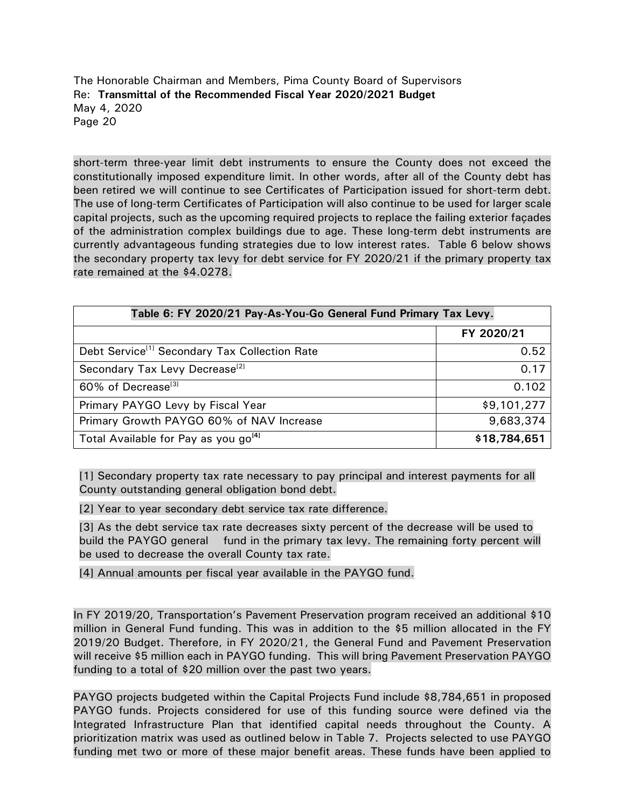short-term three-year limit debt instruments to ensure the County does not exceed the constitutionally imposed expenditure limit. In other words, after all of the County debt has been retired we will continue to see Certificates of Participation issued for short-term debt. The use of long-term Certificates of Participation will also continue to be used for larger scale capital projects, such as the upcoming required projects to replace the failing exterior façades of the administration complex buildings due to age. These long-term debt instruments are currently advantageous funding strategies due to low interest rates. Table 6 below shows the secondary property tax levy for debt service for FY 2020/21 if the primary property tax rate remained at the \$4.0278.

| Table 6: FY 2020/21 Pay-As-You-Go General Fund Primary Tax Levy. |              |  |  |
|------------------------------------------------------------------|--------------|--|--|
|                                                                  | FY 2020/21   |  |  |
| Debt Service <sup>[1]</sup> Secondary Tax Collection Rate        | 0.52         |  |  |
| Secondary Tax Levy Decrease <sup>[2]</sup>                       | 0.17         |  |  |
| 60% of Decrease <sup>[3]</sup>                                   | 0.102        |  |  |
| Primary PAYGO Levy by Fiscal Year                                | \$9,101,277  |  |  |
| Primary Growth PAYGO 60% of NAV Increase                         | 9,683,374    |  |  |
| Total Available for Pay as you go <sup>[4]</sup>                 | \$18,784,651 |  |  |

[1] Secondary property tax rate necessary to pay principal and interest payments for all County outstanding general obligation bond debt.

[2] Year to year secondary debt service tax rate difference.

[3] As the debt service tax rate decreases sixty percent of the decrease will be used to build the PAYGO general fund in the primary tax levy. The remaining forty percent will be used to decrease the overall County tax rate.

[4] Annual amounts per fiscal year available in the PAYGO fund.

In FY 2019/20, Transportation's Pavement Preservation program received an additional \$10 million in General Fund funding. This was in addition to the \$5 million allocated in the FY 2019/20 Budget. Therefore, in FY 2020/21, the General Fund and Pavement Preservation will receive \$5 million each in PAYGO funding. This will bring Pavement Preservation PAYGO funding to a total of \$20 million over the past two years.

PAYGO projects budgeted within the Capital Projects Fund include \$8,784,651 in proposed PAYGO funds. Projects considered for use of this funding source were defined via the Integrated Infrastructure Plan that identified capital needs throughout the County. A prioritization matrix was used as outlined below in Table 7. Projects selected to use PAYGO funding met two or more of these major benefit areas. These funds have been applied to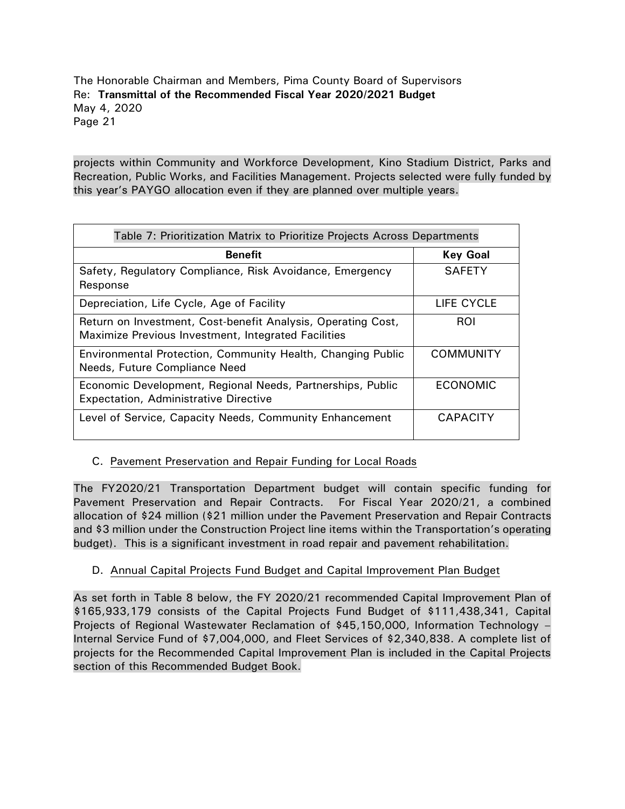projects within Community and Workforce Development, Kino Stadium District, Parks and Recreation, Public Works, and Facilities Management. Projects selected were fully funded by this year's PAYGO allocation even if they are planned over multiple years.

| Table 7: Prioritization Matrix to Prioritize Projects Across Departments                                            |                  |  |  |  |
|---------------------------------------------------------------------------------------------------------------------|------------------|--|--|--|
| <b>Benefit</b>                                                                                                      | <b>Key Goal</b>  |  |  |  |
| Safety, Regulatory Compliance, Risk Avoidance, Emergency<br>Response                                                | <b>SAFETY</b>    |  |  |  |
| Depreciation, Life Cycle, Age of Facility                                                                           | LIFE CYCLE       |  |  |  |
| Return on Investment, Cost-benefit Analysis, Operating Cost,<br>Maximize Previous Investment, Integrated Facilities | ROI              |  |  |  |
| Environmental Protection, Community Health, Changing Public<br>Needs, Future Compliance Need                        | <b>COMMUNITY</b> |  |  |  |
| Economic Development, Regional Needs, Partnerships, Public<br>Expectation, Administrative Directive                 | <b>ECONOMIC</b>  |  |  |  |
| Level of Service, Capacity Needs, Community Enhancement                                                             | <b>CAPACITY</b>  |  |  |  |

# C. Pavement Preservation and Repair Funding for Local Roads

The FY2020/21 Transportation Department budget will contain specific funding for Pavement Preservation and Repair Contracts. For Fiscal Year 2020/21, a combined allocation of \$24 million (\$21 million under the Pavement Preservation and Repair Contracts and \$3 million under the Construction Project line items within the Transportation's operating budget). This is a significant investment in road repair and pavement rehabilitation.

# D. Annual Capital Projects Fund Budget and Capital Improvement Plan Budget

As set forth in Table 8 below, the FY 2020/21 recommended Capital Improvement Plan of \$165,933,179 consists of the Capital Projects Fund Budget of \$111,438,341, Capital Projects of Regional Wastewater Reclamation of \$45,150,000, Information Technology – Internal Service Fund of \$7,004,000, and Fleet Services of \$2,340,838. A complete list of projects for the Recommended Capital Improvement Plan is included in the Capital Projects section of this Recommended Budget Book.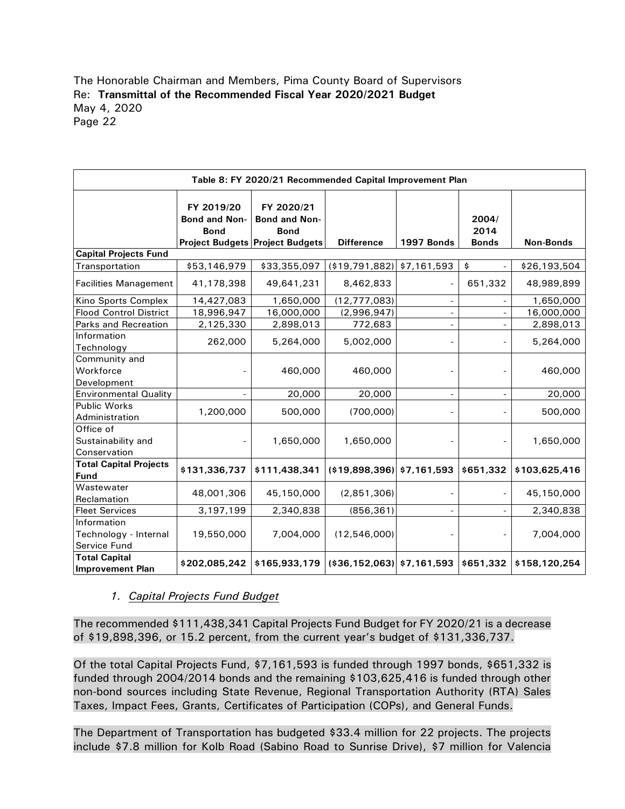| Table 8: FY 2020/21 Recommended Capital Improvement Plan                                                                                                                                                                                                                                                                                                              |                                            |                                                                                      |                                   |                          |                               |                  |
|-----------------------------------------------------------------------------------------------------------------------------------------------------------------------------------------------------------------------------------------------------------------------------------------------------------------------------------------------------------------------|--------------------------------------------|--------------------------------------------------------------------------------------|-----------------------------------|--------------------------|-------------------------------|------------------|
|                                                                                                                                                                                                                                                                                                                                                                       | FY 2019/20<br>Bond and Non-<br><b>Bond</b> | FY 2020/21<br>Bond and Non-<br><b>Bond</b><br><b>Project Budgets Project Budgets</b> | <b>Difference</b>                 | 1997 Bonds               | 2004/<br>2014<br><b>Bonds</b> | <b>Non-Bonds</b> |
| <b>Capital Projects Fund</b>                                                                                                                                                                                                                                                                                                                                          |                                            |                                                                                      |                                   |                          |                               |                  |
| Transportation                                                                                                                                                                                                                                                                                                                                                        | \$53,146,979                               | \$33,355,097                                                                         | (\$19,791,882)                    | \$7,161,593              | \$                            | \$26,193,504     |
| <b>Facilities Management</b>                                                                                                                                                                                                                                                                                                                                          | 41,178,398                                 | 49,641,231                                                                           | 8,462,833                         |                          | 651,332                       | 48,989,899       |
| Kino Sports Complex                                                                                                                                                                                                                                                                                                                                                   | 14,427,083                                 | 1,650,000                                                                            | (12, 777, 083)                    |                          |                               | 1,650,000        |
| <b>Flood Control District</b>                                                                                                                                                                                                                                                                                                                                         | 18,996,947                                 | 16,000,000                                                                           | (2,996,947)                       | $\overline{\phantom{0}}$ | $\overline{\phantom{a}}$      | 16,000,000       |
| Parks and Recreation                                                                                                                                                                                                                                                                                                                                                  | 2,125,330                                  | 2,898,013                                                                            | 772,683                           | $\overline{a}$           |                               | 2,898,013        |
| Information<br>Technology                                                                                                                                                                                                                                                                                                                                             | 262,000                                    | 5,264,000                                                                            | 5,002,000                         |                          |                               | 5,264,000        |
| Community and<br>Workforce<br>Development                                                                                                                                                                                                                                                                                                                             |                                            | 460,000                                                                              | 460,000                           |                          |                               | 460,000          |
| <b>Environmental Quality</b>                                                                                                                                                                                                                                                                                                                                          |                                            | 20,000                                                                               | 20,000                            |                          |                               | 20,000           |
| <b>Public Works</b><br>Administration                                                                                                                                                                                                                                                                                                                                 | 1,200,000                                  | 500,000                                                                              | (700,000)                         |                          |                               | 500,000          |
| Office of<br>Sustainability and<br>Conservation                                                                                                                                                                                                                                                                                                                       |                                            | 1,650,000                                                                            | 1,650,000                         |                          |                               | 1,650,000        |
| <b>Total Capital Projects</b><br>Fund                                                                                                                                                                                                                                                                                                                                 | \$131,336,737                              | \$111,438,341                                                                        | $($ \$19,898,396) $ $ \$7,161,593 |                          | \$651,332                     | \$103,625,416    |
| Wastewater<br>Reclamation                                                                                                                                                                                                                                                                                                                                             | 48,001,306                                 | 45,150,000                                                                           | (2,851,306)                       |                          |                               | 45,150,000       |
| <b>Fleet Services</b>                                                                                                                                                                                                                                                                                                                                                 | 3,197,199                                  | 2,340,838                                                                            | (856, 361)                        |                          |                               | 2,340,838        |
| Information                                                                                                                                                                                                                                                                                                                                                           | 19,550,000                                 | 7,004,000                                                                            | (12,546,000)                      |                          |                               |                  |
| Technology - Internal<br>Service Fund                                                                                                                                                                                                                                                                                                                                 |                                            |                                                                                      |                                   |                          |                               | 7,004,000        |
| <b>Total Capital</b><br><b>Improvement Plan</b>                                                                                                                                                                                                                                                                                                                       | \$202,085,242                              | \$165,933,179                                                                        | $( $36,152,063]$ \$7,161,593      |                          | \$651,332                     | \$158,120,254    |
| The recommended \$111,438,341 Capital Projects Fund Budget for FY 2020/21 is a decrease<br>of \$19,898,396, or 15.2 percent, from the current year's budget of \$131,336,737.<br>Of the total Capital Projects Fund, \$7,161,593 is funded through 1997 bonds, \$651,332 is<br>funded through 2004/2014 bonds and the remaining \$103,625,416 is funded through other | 1. Capital Projects Fund Budget            |                                                                                      |                                   |                          |                               |                  |
| non-bond sources including State Revenue, Regional Transportation Authority (RTA) Sales<br>Taxes, Impact Fees, Grants, Certificates of Participation (COPs), and General Funds.<br>The Department of Transportation has budgeted \$33.4 million for 22 projects. The projects                                                                                         |                                            |                                                                                      |                                   |                          |                               |                  |

## *1. Capital Projects Fund Budget*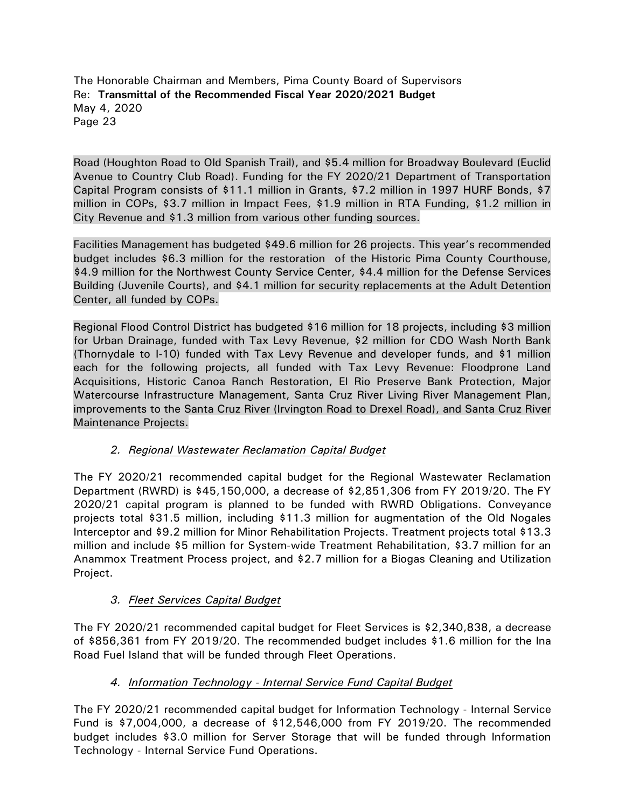Road (Houghton Road to Old Spanish Trail), and \$5.4 million for Broadway Boulevard (Euclid Avenue to Country Club Road). Funding for the FY 2020/21 Department of Transportation Capital Program consists of \$11.1 million in Grants, \$7.2 million in 1997 HURF Bonds, \$7 million in COPs, \$3.7 million in Impact Fees, \$1.9 million in RTA Funding, \$1.2 million in City Revenue and \$1.3 million from various other funding sources.

Facilities Management has budgeted \$49.6 million for 26 projects. This year's recommended budget includes \$6.3 million for the restoration of the Historic Pima County Courthouse, \$4.9 million for the Northwest County Service Center, \$4.4 million for the Defense Services Building (Juvenile Courts), and \$4.1 million for security replacements at the Adult Detention Center, all funded by COPs.

Regional Flood Control District has budgeted \$16 million for 18 projects, including \$3 million for Urban Drainage, funded with Tax Levy Revenue, \$2 million for CDO Wash North Bank (Thornydale to I-10) funded with Tax Levy Revenue and developer funds, and \$1 million each for the following projects, all funded with Tax Levy Revenue: Floodprone Land Acquisitions, Historic Canoa Ranch Restoration, El Rio Preserve Bank Protection, Major Watercourse Infrastructure Management, Santa Cruz River Living River Management Plan, improvements to the Santa Cruz River (Irvington Road to Drexel Road), and Santa Cruz River Maintenance Projects.

# *2. Regional Wastewater Reclamation Capital Budget*

The FY 2020/21 recommended capital budget for the Regional Wastewater Reclamation Department (RWRD) is \$45,150,000, a decrease of \$2,851,306 from FY 2019/20. The FY 2020/21 capital program is planned to be funded with RWRD Obligations. Conveyance projects total \$31.5 million, including \$11.3 million for augmentation of the Old Nogales Interceptor and \$9.2 million for Minor Rehabilitation Projects. Treatment projects total \$13.3 million and include \$5 million for System-wide Treatment Rehabilitation, \$3.7 million for an Anammox Treatment Process project, and \$2.7 million for a Biogas Cleaning and Utilization Project.

# *3. Fleet Services Capital Budget*

The FY 2020/21 recommended capital budget for Fleet Services is \$2,340,838, a decrease of \$856,361 from FY 2019/20. The recommended budget includes \$1.6 million for the Ina Road Fuel Island that will be funded through Fleet Operations.

# *4. Information Technology - Internal Service Fund Capital Budget*

The FY 2020/21 recommended capital budget for Information Technology - Internal Service Fund is \$7,004,000, a decrease of \$12,546,000 from FY 2019/20. The recommended budget includes \$3.0 million for Server Storage that will be funded through Information Technology - Internal Service Fund Operations.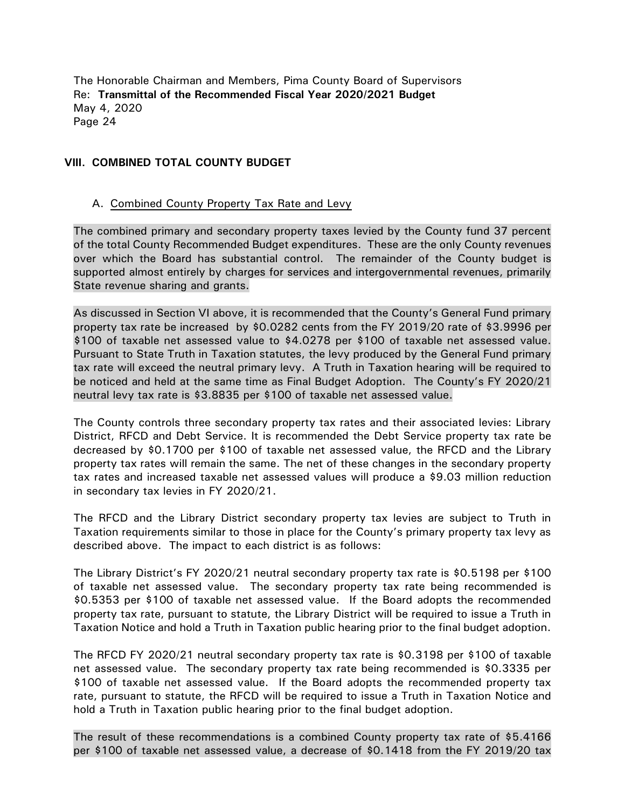#### **VIII. COMBINED TOTAL COUNTY BUDGET**

#### A. Combined County Property Tax Rate and Levy

The combined primary and secondary property taxes levied by the County fund 37 percent of the total County Recommended Budget expenditures. These are the only County revenues over which the Board has substantial control. The remainder of the County budget is supported almost entirely by charges for services and intergovernmental revenues, primarily State revenue sharing and grants.

As discussed in Section VI above, it is recommended that the County's General Fund primary property tax rate be increased by \$0.0282 cents from the FY 2019/20 rate of \$3.9996 per \$100 of taxable net assessed value to \$4.0278 per \$100 of taxable net assessed value. Pursuant to State Truth in Taxation statutes, the levy produced by the General Fund primary tax rate will exceed the neutral primary levy. A Truth in Taxation hearing will be required to be noticed and held at the same time as Final Budget Adoption. The County's FY 2020/21 neutral levy tax rate is \$3.8835 per \$100 of taxable net assessed value.

The County controls three secondary property tax rates and their associated levies: Library District, RFCD and Debt Service. It is recommended the Debt Service property tax rate be decreased by \$0.1700 per \$100 of taxable net assessed value, the RFCD and the Library property tax rates will remain the same. The net of these changes in the secondary property tax rates and increased taxable net assessed values will produce a \$9.03 million reduction in secondary tax levies in FY 2020/21.

The RFCD and the Library District secondary property tax levies are subject to Truth in Taxation requirements similar to those in place for the County's primary property tax levy as described above. The impact to each district is as follows:

The Library District's FY 2020/21 neutral secondary property tax rate is \$0.5198 per \$100 of taxable net assessed value. The secondary property tax rate being recommended is \$0.5353 per \$100 of taxable net assessed value. If the Board adopts the recommended property tax rate, pursuant to statute, the Library District will be required to issue a Truth in Taxation Notice and hold a Truth in Taxation public hearing prior to the final budget adoption.

The RFCD FY 2020/21 neutral secondary property tax rate is \$0.3198 per \$100 of taxable net assessed value. The secondary property tax rate being recommended is \$0.3335 per \$100 of taxable net assessed value. If the Board adopts the recommended property tax rate, pursuant to statute, the RFCD will be required to issue a Truth in Taxation Notice and hold a Truth in Taxation public hearing prior to the final budget adoption.

The result of these recommendations is a combined County property tax rate of \$5.4166 per \$100 of taxable net assessed value, a decrease of \$0.1418 from the FY 2019/20 tax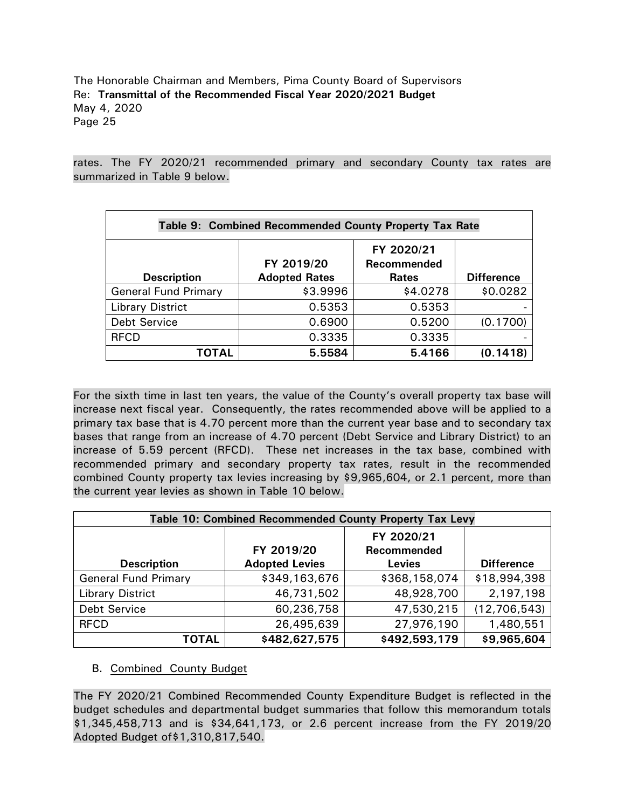rates. The FY 2020/21 recommended primary and secondary County tax rates are summarized in Table 9 below.

| Table 9: Combined Recommended County Property Tax Rate |                                    |                                           |                   |  |  |  |
|--------------------------------------------------------|------------------------------------|-------------------------------------------|-------------------|--|--|--|
| <b>Description</b>                                     | FY 2019/20<br><b>Adopted Rates</b> | FY 2020/21<br>Recommended<br><b>Rates</b> | <b>Difference</b> |  |  |  |
| <b>General Fund Primary</b>                            | \$3.9996                           | \$4.0278                                  | \$0.0282          |  |  |  |
| <b>Library District</b>                                | 0.5353                             | 0.5353                                    |                   |  |  |  |
| Debt Service                                           | 0.6900                             | 0.5200                                    | (0.1700)          |  |  |  |
| <b>RFCD</b>                                            | 0.3335                             | 0.3335                                    |                   |  |  |  |
| ΤΟΤΑL                                                  | 5.5584                             | 5.4166                                    | (0.1418)          |  |  |  |

For the sixth time in last ten years, the value of the County's overall property tax base will increase next fiscal year. Consequently, the rates recommended above will be applied to a primary tax base that is 4.70 percent more than the current year base and to secondary tax bases that range from an increase of 4.70 percent (Debt Service and Library District) to an increase of 5.59 percent (RFCD). These net increases in the tax base, combined with recommended primary and secondary property tax rates, result in the recommended combined County property tax levies increasing by \$9,965,604, or 2.1 percent, more than the current year levies as shown in Table 10 below.

| Table 10: Combined Recommended County Property Tax Levy |                       |               |                   |  |  |
|---------------------------------------------------------|-----------------------|---------------|-------------------|--|--|
|                                                         |                       | FY 2020/21    |                   |  |  |
|                                                         | FY 2019/20            | Recommended   |                   |  |  |
| <b>Description</b>                                      | <b>Adopted Levies</b> | <b>Levies</b> | <b>Difference</b> |  |  |
| <b>General Fund Primary</b>                             | \$349,163,676         | \$368,158,074 | \$18,994,398      |  |  |
| <b>Library District</b>                                 | 46,731,502            | 48,928,700    | 2,197,198         |  |  |
| <b>Debt Service</b>                                     | 60,236,758            | 47,530,215    | (12,706,543)      |  |  |
| <b>RFCD</b>                                             | 26,495,639            | 27,976,190    | 1,480,551         |  |  |
| <b>TOTAL</b>                                            | \$482,627,575         | \$492,593,179 | \$9,965,604       |  |  |

## B. Combined County Budget

The FY 2020/21 Combined Recommended County Expenditure Budget is reflected in the budget schedules and departmental budget summaries that follow this memorandum totals \$1,345,458,713 and is \$34,641,173, or 2.6 percent increase from the FY 2019/20 Adopted Budget of\$1,310,817,540.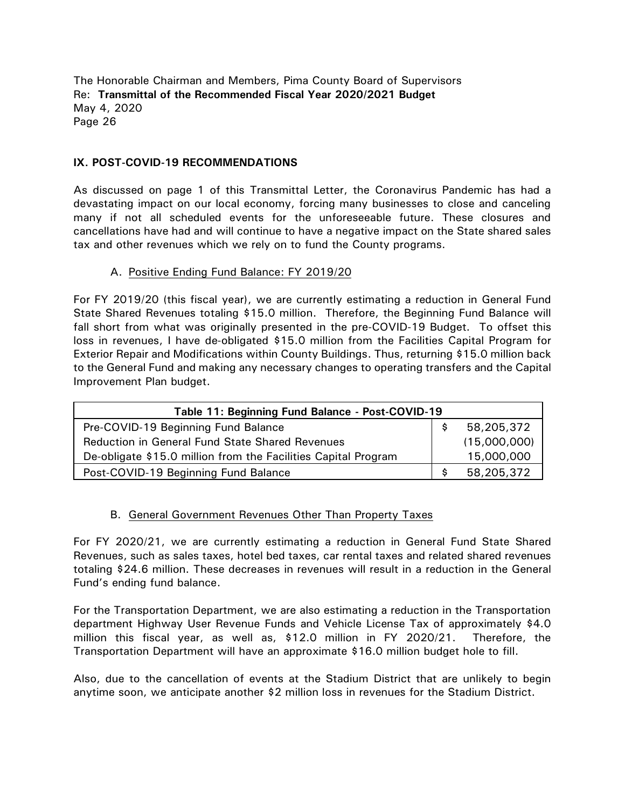## **IX. POST-COVID-19 RECOMMENDATIONS**

As discussed on page 1 of this Transmittal Letter, the Coronavirus Pandemic has had a devastating impact on our local economy, forcing many businesses to close and canceling many if not all scheduled events for the unforeseeable future. These closures and cancellations have had and will continue to have a negative impact on the State shared sales tax and other revenues which we rely on to fund the County programs.

#### A. Positive Ending Fund Balance: FY 2019/20

For FY 2019/20 (this fiscal year), we are currently estimating a reduction in General Fund State Shared Revenues totaling \$15.0 million. Therefore, the Beginning Fund Balance will fall short from what was originally presented in the pre-COVID-19 Budget. To offset this loss in revenues, I have de-obligated \$15.0 million from the Facilities Capital Program for Exterior Repair and Modifications within County Buildings. Thus, returning \$15.0 million back to the General Fund and making any necessary changes to operating transfers and the Capital Improvement Plan budget.

| Table 11: Beginning Fund Balance - Post-COVID-19               |  |              |  |  |
|----------------------------------------------------------------|--|--------------|--|--|
| Pre-COVID-19 Beginning Fund Balance                            |  | 58,205,372   |  |  |
| <b>Reduction in General Fund State Shared Revenues</b>         |  | (15,000,000) |  |  |
| De-obligate \$15.0 million from the Facilities Capital Program |  | 15,000,000   |  |  |
| Post-COVID-19 Beginning Fund Balance                           |  | 58,205,372   |  |  |

## B. General Government Revenues Other Than Property Taxes

For FY 2020/21, we are currently estimating a reduction in General Fund State Shared Revenues, such as sales taxes, hotel bed taxes, car rental taxes and related shared revenues totaling \$24.6 million. These decreases in revenues will result in a reduction in the General Fund's ending fund balance.

For the Transportation Department, we are also estimating a reduction in the Transportation department Highway User Revenue Funds and Vehicle License Tax of approximately \$4.0 million this fiscal year, as well as, \$12.0 million in FY 2020/21. Therefore, the Transportation Department will have an approximate \$16.0 million budget hole to fill.

Also, due to the cancellation of events at the Stadium District that are unlikely to begin anytime soon, we anticipate another \$2 million loss in revenues for the Stadium District.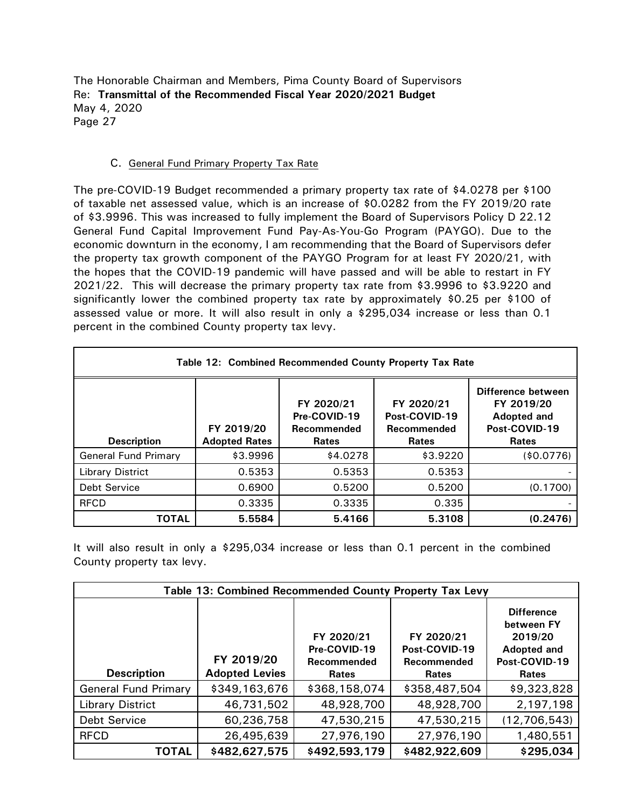#### C. General Fund Primary Property Tax Rate

The pre-COVID-19 Budget recommended a primary property tax rate of \$4.0278 per \$100 of taxable net assessed value, which is an increase of \$0.0282 from the FY 2019/20 rate of \$3.9996. This was increased to fully implement the Board of Supervisors Policy D 22.12 General Fund Capital Improvement Fund Pay-As-You-Go Program (PAYGO). Due to the economic downturn in the economy, I am recommending that the Board of Supervisors defer the property tax growth component of the PAYGO Program for at least FY 2020/21, with the hopes that the COVID-19 pandemic will have passed and will be able to restart in FY 2021/22. This will decrease the primary property tax rate from \$3.9996 to \$3.9220 and significantly lower the combined property tax rate by approximately \$0.25 per \$100 of assessed value or more. It will also result in only a \$295,034 increase or less than 0.1 percent in the combined County property tax levy.

| Table 12: Combined Recommended County Property Tax Rate |                                    |                                                           |                                                            |                                                                                  |  |
|---------------------------------------------------------|------------------------------------|-----------------------------------------------------------|------------------------------------------------------------|----------------------------------------------------------------------------------|--|
| <b>Description</b>                                      | FY 2019/20<br><b>Adopted Rates</b> | FY 2020/21<br>Pre-COVID-19<br>Recommended<br><b>Rates</b> | FY 2020/21<br>Post-COVID-19<br>Recommended<br><b>Rates</b> | Difference between<br>FY 2019/20<br>Adopted and<br>Post-COVID-19<br><b>Rates</b> |  |
| <b>General Fund Primary</b>                             | \$3.9996                           | \$4.0278                                                  | \$3.9220                                                   | (\$0.0776)                                                                       |  |
| <b>Library District</b>                                 | 0.5353                             | 0.5353                                                    | 0.5353                                                     |                                                                                  |  |
| <b>Debt Service</b>                                     | 0.6900                             | 0.5200                                                    | 0.5200                                                     | (0.1700)                                                                         |  |
| <b>RFCD</b>                                             | 0.3335                             | 0.3335                                                    | 0.335                                                      |                                                                                  |  |
| <b>TOTAL</b>                                            | 5.5584                             | 5.4166                                                    | 5.3108                                                     | (0.2476)                                                                         |  |

It will also result in only a \$295,034 increase or less than 0.1 percent in the combined County property tax levy.

| Table 13: Combined Recommended County Property Tax Levy |                                     |                                                    |                                                            |                                                                                            |  |
|---------------------------------------------------------|-------------------------------------|----------------------------------------------------|------------------------------------------------------------|--------------------------------------------------------------------------------------------|--|
| <b>Description</b>                                      | FY 2019/20<br><b>Adopted Levies</b> | FY 2020/21<br>Pre-COVID-19<br>Recommended<br>Rates | FY 2020/21<br>Post-COVID-19<br>Recommended<br><b>Rates</b> | <b>Difference</b><br>between FY<br>2019/20<br>Adopted and<br>Post-COVID-19<br><b>Rates</b> |  |
| <b>General Fund Primary</b>                             | \$349,163,676                       | \$368,158,074                                      | \$358,487,504                                              | \$9,323,828                                                                                |  |
| <b>Library District</b>                                 | 46,731,502                          | 48,928,700                                         | 48,928,700                                                 | 2,197,198                                                                                  |  |
| <b>Debt Service</b>                                     | 60,236,758                          | 47,530,215                                         | 47,530,215                                                 | (12, 706, 543)                                                                             |  |
| <b>RFCD</b>                                             | 26,495,639                          | 27,976,190                                         | 27,976,190                                                 | 1,480,551                                                                                  |  |
| <b>TOTAL</b>                                            | \$482,627,575                       | \$492,593,179                                      | \$482,922,609                                              | \$295,034                                                                                  |  |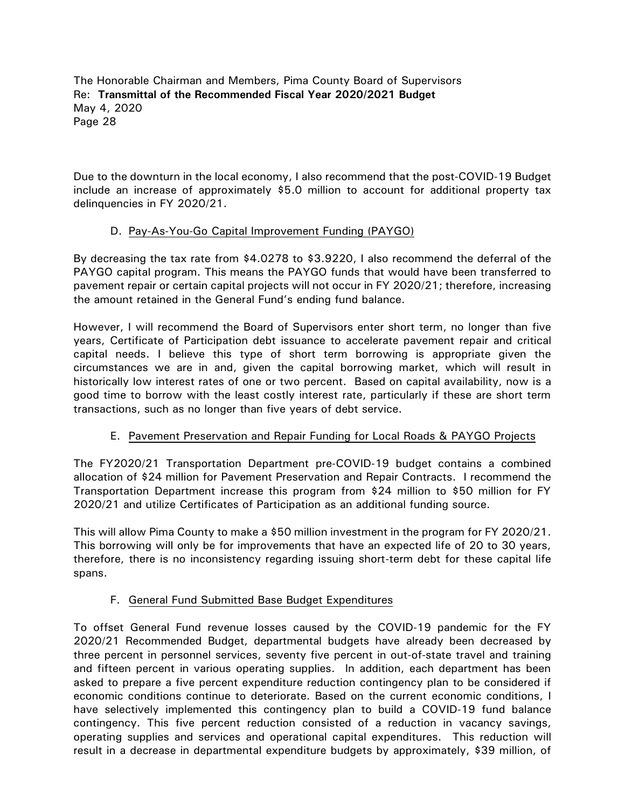Due to the downturn in the local economy, I also recommend that the post-COVID-19 Budget include an increase of approximately \$5.0 million to account for additional property tax delinquencies in FY 2020/21.

# D. Pay-As-You-Go Capital Improvement Funding (PAYGO)

By decreasing the tax rate from \$4.0278 to \$3.9220, I also recommend the deferral of the PAYGO capital program. This means the PAYGO funds that would have been transferred to pavement repair or certain capital projects will not occur in FY 2020/21; therefore, increasing the amount retained in the General Fund's ending fund balance.

However, I will recommend the Board of Supervisors enter short term, no longer than five years, Certificate of Participation debt issuance to accelerate pavement repair and critical capital needs. I believe this type of short term borrowing is appropriate given the circumstances we are in and, given the capital borrowing market, which will result in historically low interest rates of one or two percent. Based on capital availability, now is a good time to borrow with the least costly interest rate, particularly if these are short term transactions, such as no longer than five years of debt service.

# E. Pavement Preservation and Repair Funding for Local Roads & PAYGO Projects

The FY2020/21 Transportation Department pre-COVID-19 budget contains a combined allocation of \$24 million for Pavement Preservation and Repair Contracts. I recommend the Transportation Department increase this program from \$24 million to \$50 million for FY 2020/21 and utilize Certificates of Participation as an additional funding source.

This will allow Pima County to make a \$50 million investment in the program for FY 2020/21. This borrowing will only be for improvements that have an expected life of 20 to 30 years, therefore, there is no inconsistency regarding issuing short-term debt for these capital life spans.

## F. General Fund Submitted Base Budget Expenditures

To offset General Fund revenue losses caused by the COVID-19 pandemic for the FY 2020/21 Recommended Budget, departmental budgets have already been decreased by three percent in personnel services, seventy five percent in out-of-state travel and training and fifteen percent in various operating supplies. In addition, each department has been asked to prepare a five percent expenditure reduction contingency plan to be considered if economic conditions continue to deteriorate. Based on the current economic conditions, I have selectively implemented this contingency plan to build a COVID-19 fund balance contingency. This five percent reduction consisted of a reduction in vacancy savings, operating supplies and services and operational capital expenditures. This reduction will result in a decrease in departmental expenditure budgets by approximately, \$39 million, of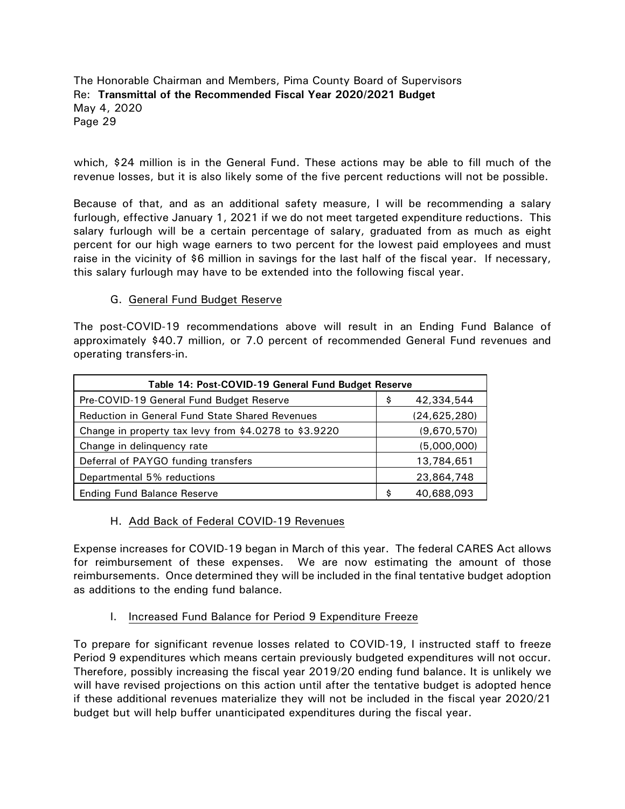which, \$24 million is in the General Fund. These actions may be able to fill much of the revenue losses, but it is also likely some of the five percent reductions will not be possible.

Because of that, and as an additional safety measure, I will be recommending a salary furlough, effective January 1, 2021 if we do not meet targeted expenditure reductions. This salary furlough will be a certain percentage of salary, graduated from as much as eight percent for our high wage earners to two percent for the lowest paid employees and must raise in the vicinity of \$6 million in savings for the last half of the fiscal year. If necessary, this salary furlough may have to be extended into the following fiscal year.

#### G. General Fund Budget Reserve

The post-COVID-19 recommendations above will result in an Ending Fund Balance of approximately \$40.7 million, or 7.0 percent of recommended General Fund revenues and operating transfers-in.

| Table 14: Post-COVID-19 General Fund Budget Reserve   |    |              |  |  |
|-------------------------------------------------------|----|--------------|--|--|
| Pre-COVID-19 General Fund Budget Reserve              | \$ | 42,334,544   |  |  |
| Reduction in General Fund State Shared Revenues       |    | (24,625,280) |  |  |
| Change in property tax levy from \$4.0278 to \$3.9220 |    | (9,670,570)  |  |  |
| Change in delinquency rate                            |    | (5,000,000)  |  |  |
| Deferral of PAYGO funding transfers                   |    | 13,784,651   |  |  |
| Departmental 5% reductions                            |    | 23,864,748   |  |  |
| <b>Ending Fund Balance Reserve</b>                    | \$ | 40,688,093   |  |  |

## H. Add Back of Federal COVID-19 Revenues

Expense increases for COVID-19 began in March of this year. The federal CARES Act allows for reimbursement of these expenses. We are now estimating the amount of those reimbursements. Once determined they will be included in the final tentative budget adoption as additions to the ending fund balance.

I. Increased Fund Balance for Period 9 Expenditure Freeze

To prepare for significant revenue losses related to COVID-19, I instructed staff to freeze Period 9 expenditures which means certain previously budgeted expenditures will not occur. Therefore, possibly increasing the fiscal year 2019/20 ending fund balance. It is unlikely we will have revised projections on this action until after the tentative budget is adopted hence if these additional revenues materialize they will not be included in the fiscal year 2020/21 budget but will help buffer unanticipated expenditures during the fiscal year.